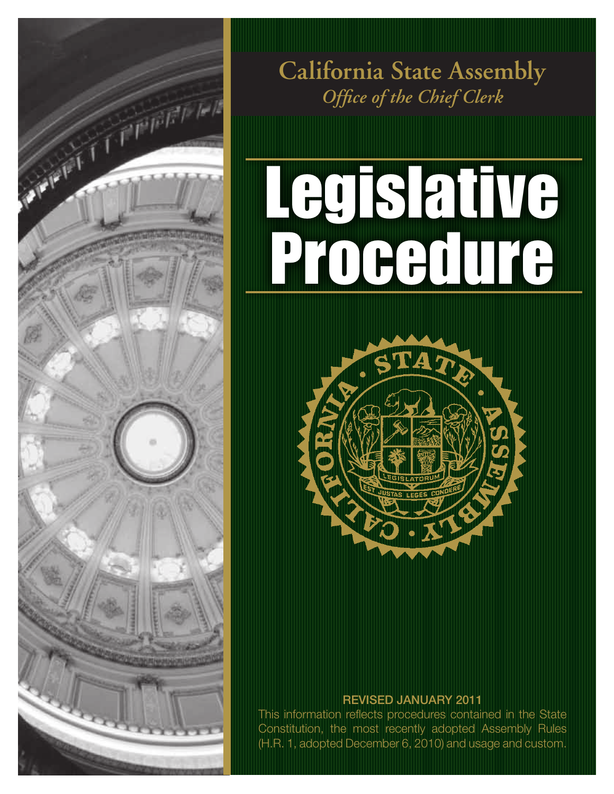

*Office of the Chief Clerk* **California State Assembly**

# Legislative Procedure



### REVISED JANUARY 2011

This information reflects procedures contained in the State Constitution, the most recently adopted Assembly Rules (H.R. 1, adopted December 6, 2010) and usage and custom.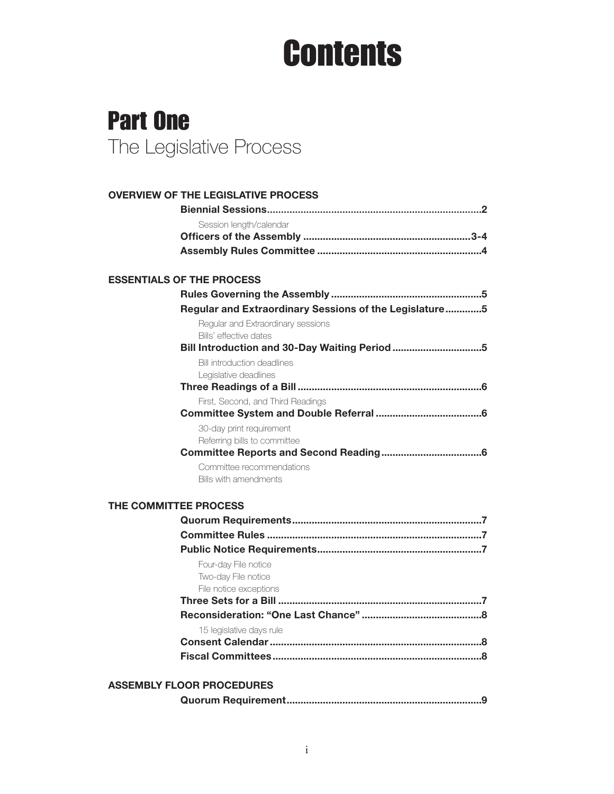### **Contents**

### Part One The Legislative Process

| <b>OVERVIEW OF THE LEGISLATIVE PROCESS</b>                             |
|------------------------------------------------------------------------|
|                                                                        |
| Session length/calendar                                                |
|                                                                        |
|                                                                        |
| <b>ESSENTIALS OF THE PROCESS</b>                                       |
|                                                                        |
|                                                                        |
| Regular and Extraordinary Sessions of the Legislature5                 |
| Regular and Extraordinary sessions                                     |
| Bills' effective dates<br>Bill Introduction and 30-Day Waiting Period5 |
|                                                                        |
| <b>Bill introduction deadlines</b><br>Legislative deadlines            |
|                                                                        |
| First, Second, and Third Readings                                      |
|                                                                        |
| 30-day print requirement                                               |
| Referring bills to committee                                           |
|                                                                        |
| Committee recommendations                                              |
| Bills with amendments                                                  |
| THE COMMITTEE PROCESS                                                  |
|                                                                        |
|                                                                        |
|                                                                        |
| Four-day File notice                                                   |
| Two-day File notice                                                    |
| File notice exceptions                                                 |
|                                                                        |
|                                                                        |
| 15 legislative days rule                                               |
|                                                                        |
|                                                                        |
| <b>ASSEMBLY FLOOR PROCEDURES</b>                                       |

|--|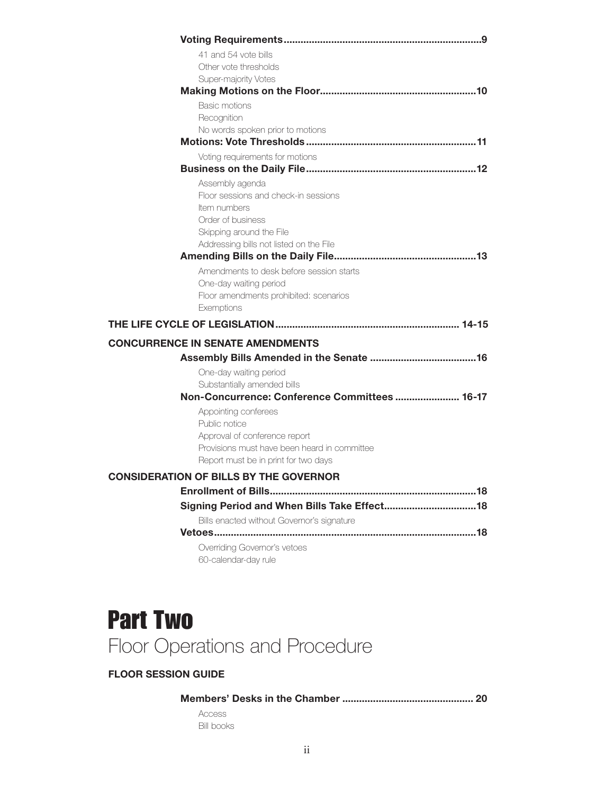| 41 and 54 vote bills                                                                 |
|--------------------------------------------------------------------------------------|
| Other vote thresholds                                                                |
| Super-majority Votes                                                                 |
|                                                                                      |
| <b>Basic motions</b>                                                                 |
| Recognition<br>No words spoken prior to motions                                      |
|                                                                                      |
| Voting requirements for motions                                                      |
|                                                                                      |
| Assembly agenda                                                                      |
| Floor sessions and check-in sessions                                                 |
| Item numbers                                                                         |
| Order of business                                                                    |
| Skipping around the File                                                             |
| Addressing bills not listed on the File                                              |
| Amendments to desk before session starts                                             |
| One-day waiting period                                                               |
| Floor amendments prohibited: scenarios                                               |
| Exemptions                                                                           |
|                                                                                      |
| <b>CONCURRENCE IN SENATE AMENDMENTS</b>                                              |
|                                                                                      |
| One-day waiting period                                                               |
| Substantially amended bills                                                          |
| Non-Concurrence: Conference Committees  16-17                                        |
| Appointing conferees                                                                 |
| Public notice                                                                        |
| Approval of conference report                                                        |
| Provisions must have been heard in committee<br>Report must be in print for two days |
|                                                                                      |
| <b>CONSIDERATION OF BILLS BY THE GOVERNOR</b>                                        |
|                                                                                      |
|                                                                                      |
| Bills enacted without Governor's signature                                           |
|                                                                                      |
| Overriding Governor's vetoes                                                         |
| 60-calendar-day rule                                                                 |

### Part Two Floor Operations and Procedure

### FLOOR SESSION GUIDE

### Members' Desks in the Chamber ............................................... 20

Access Bill books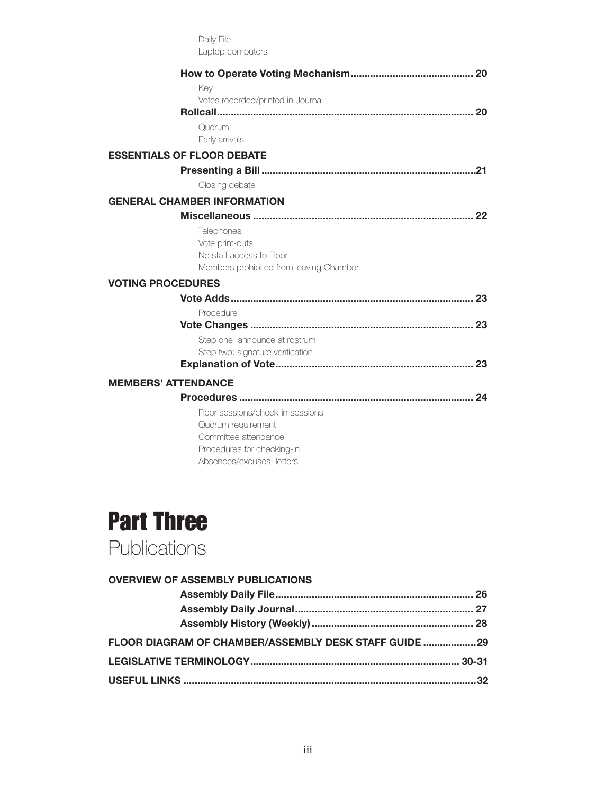|                            | Daily File                                                          |  |
|----------------------------|---------------------------------------------------------------------|--|
|                            | Laptop computers                                                    |  |
|                            |                                                                     |  |
|                            | Key                                                                 |  |
|                            | Votes recorded/printed in Journal                                   |  |
|                            |                                                                     |  |
|                            | Quorum                                                              |  |
|                            | Early arrivals                                                      |  |
|                            | <b>ESSENTIALS OF FLOOR DEBATE</b>                                   |  |
|                            |                                                                     |  |
|                            | Closing debate                                                      |  |
|                            | <b>GENERAL CHAMBER INFORMATION</b>                                  |  |
|                            |                                                                     |  |
|                            | Telephones                                                          |  |
|                            | Vote print-outs                                                     |  |
|                            | No staff access to Floor<br>Members prohibited from leaving Chamber |  |
|                            |                                                                     |  |
| <b>VOTING PROCEDURES</b>   |                                                                     |  |
|                            |                                                                     |  |
|                            | Procedure                                                           |  |
|                            | Step one: announce at rostrum                                       |  |
|                            | Step two: signature verification                                    |  |
|                            |                                                                     |  |
| <b>MEMBERS' ATTENDANCE</b> |                                                                     |  |
|                            |                                                                     |  |
|                            | Floor sessions/check-in sessions                                    |  |
|                            | Quorum requirement                                                  |  |
|                            | Committee attendance                                                |  |
|                            | Procedures for checking-in                                          |  |
|                            | Absences/excuses: letters                                           |  |



**Publications** 

| <b>OVERVIEW OF ASSEMBLY PUBLICATIONS</b>               |  |
|--------------------------------------------------------|--|
|                                                        |  |
|                                                        |  |
|                                                        |  |
| FLOOR DIAGRAM OF CHAMBER/ASSEMBLY DESK STAFF GUIDE  29 |  |
|                                                        |  |
| 32 <sub>2</sub>                                        |  |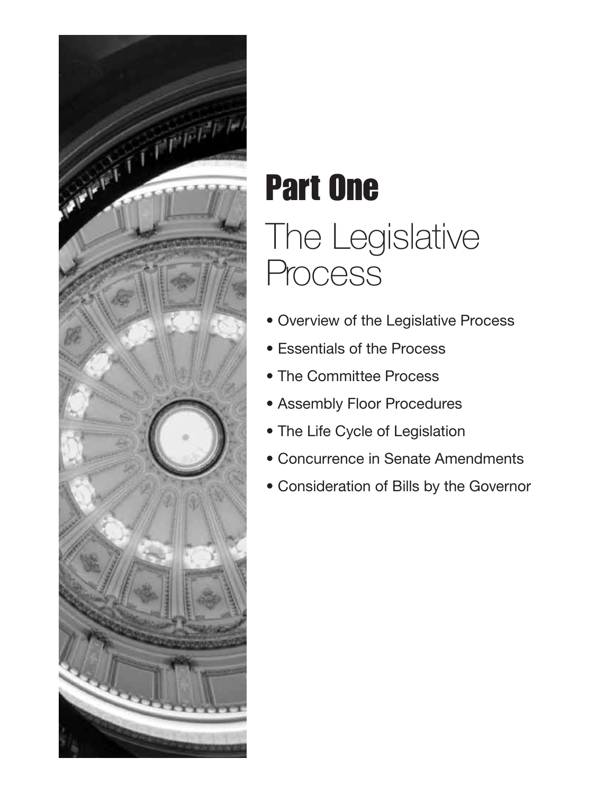

## Part One The Legislative **Process**

- Overview of the Legislative Process
- Essentials of the Process
- The Committee Process
- Assembly Floor Procedures
- The Life Cycle of Legislation
- Concurrence in Senate Amendments
- Consideration of Bills by the Governor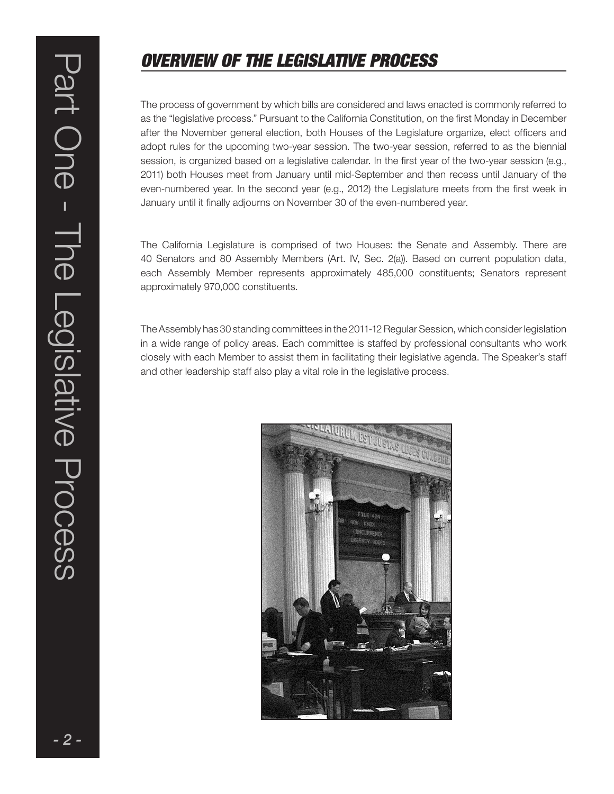### OVERVIEW OF THE LEGISLATIVE PROCESS

The process of government by which bills are considered and laws enacted is commonly referred to as the "legislative process." Pursuant to the California Constitution, on the first Monday in December after the November general election, both Houses of the Legislature organize, elect officers and adopt rules for the upcoming two-year session. The two-year session, referred to as the biennial session, is organized based on a legislative calendar. In the first year of the two-year session (e.g., 2011) both Houses meet from January until mid-September and then recess until January of the even-numbered year. In the second year (e.g., 2012) the Legislature meets from the first week in January until it finally adjourns on November 30 of the even-numbered year.

The California Legislature is comprised of two Houses: the Senate and Assembly. There are 40 Senators and 80 Assembly Members (Art. IV, Sec. 2(a)). Based on current population data, each Assembly Member represents approximately 485,000 constituents; Senators represent approximately 970,000 constituents.

The Assembly has 30 standing committees in the 2011-12 Regular Session, which consider legislation in a wide range of policy areas. Each committee is staffed by professional consultants who work closely with each Member to assist them in facilitating their legislative agenda. The Speaker's staff and other leadership staff also play a vital role in the legislative process.

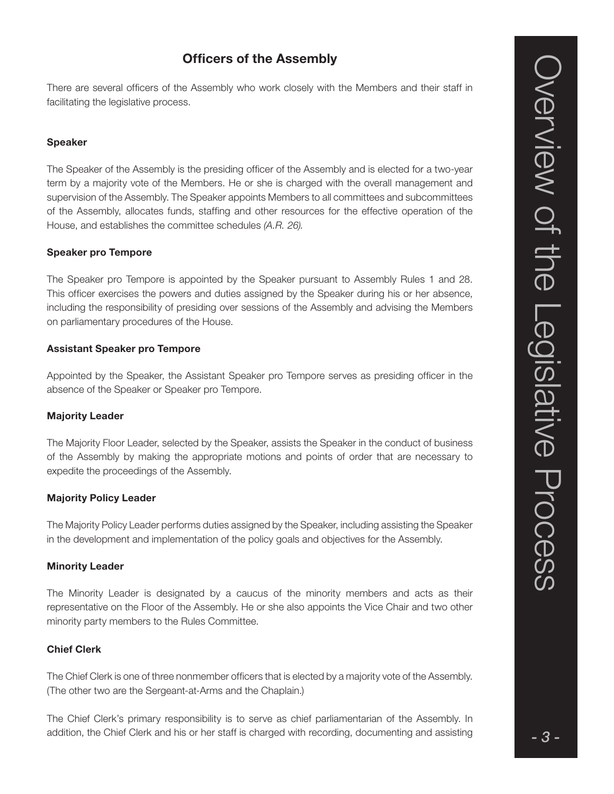### Officers of the Assembly

There are several officers of the Assembly who work closely with the Members and their staff in facilitating the legislative process.

### Speaker

The Speaker of the Assembly is the presiding officer of the Assembly and is elected for a two-year term by a majority vote of the Members. He or she is charged with the overall management and supervision of the Assembly. The Speaker appoints Members to all committees and subcommittees of the Assembly, allocates funds, staffing and other resources for the effective operation of the House, and establishes the committee schedules (A.R. 26).

#### Speaker pro Tempore

The Speaker pro Tempore is appointed by the Speaker pursuant to Assembly Rules 1 and 28. This officer exercises the powers and duties assigned by the Speaker during his or her absence, including the responsibility of presiding over sessions of the Assembly and advising the Members on parliamentary procedures of the House.

### Assistant Speaker pro Tempore

Appointed by the Speaker, the Assistant Speaker pro Tempore serves as presiding officer in the absence of the Speaker or Speaker pro Tempore.

### Majority Leader

The Majority Floor Leader, selected by the Speaker, assists the Speaker in the conduct of business of the Assembly by making the appropriate motions and points of order that are necessary to expedite the proceedings of the Assembly.

#### Majority Policy Leader

The Majority Policy Leader performs duties assigned by the Speaker, including assisting the Speaker in the development and implementation of the policy goals and objectives for the Assembly.

#### Minority Leader

The Minority Leader is designated by a caucus of the minority members and acts as their representative on the Floor of the Assembly. He or she also appoints the Vice Chair and two other minority party members to the Rules Committee.

#### Chief Clerk

The Chief Clerk is one of three nonmember officers that is elected by a majority vote of the Assembly. (The other two are the Sergeant-at-Arms and the Chaplain.)

The Chief Clerk's primary responsibility is to serve as chief parliamentarian of the Assembly. In addition, the Chief Clerk and his or her staff is charged with recording, documenting and assisting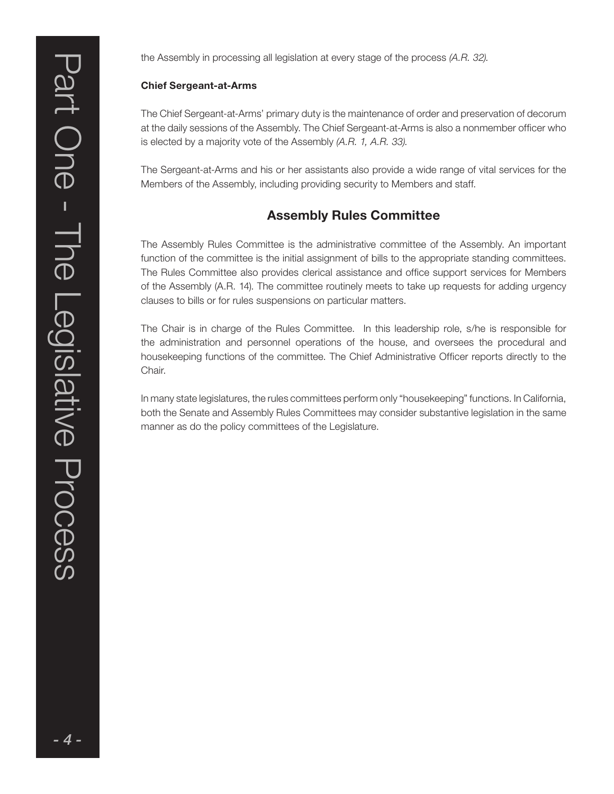the Assembly in processing all legislation at every stage of the process (A.R. 32).

### Chief Sergeant-at-Arms

The Chief Sergeant-at-Arms' primary duty is the maintenance of order and preservation of decorum at the daily sessions of the Assembly. The Chief Sergeant-at-Arms is also a nonmember officer who is elected by a majority vote of the Assembly (A.R. 1, A.R. 33).

The Sergeant-at-Arms and his or her assistants also provide a wide range of vital services for the Members of the Assembly, including providing security to Members and staff.

### Assembly Rules Committee

The Assembly Rules Committee is the administrative committee of the Assembly. An important function of the committee is the initial assignment of bills to the appropriate standing committees. The Rules Committee also provides clerical assistance and office support services for Members of the Assembly (A.R. 14). The committee routinely meets to take up requests for adding urgency clauses to bills or for rules suspensions on particular matters.

The Chair is in charge of the Rules Committee. In this leadership role, s/he is responsible for the administration and personnel operations of the house, and oversees the procedural and housekeeping functions of the committee. The Chief Administrative Officer reports directly to the Chair.

In many state legislatures, the rules committees perform only "housekeeping" functions. In California, both the Senate and Assembly Rules Committees may consider substantive legislation in the same manner as do the policy committees of the Legislature.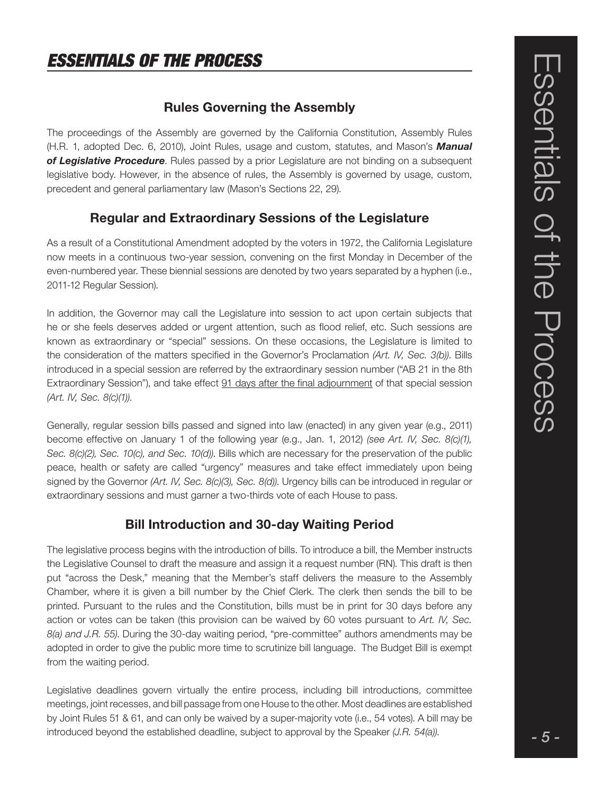### Rules Governing the Assembly

The proceedings of the Assembly are governed by the California Constitution, Assembly Rules (H.R. 1, adopted Dec. 6, 2010), Joint Rules, usage and custom, statutes, and Mason's **Manual** of Legislative Procedure. Rules passed by a prior Legislature are not binding on a subsequent legislative body. However, in the absence of rules, the Assembly is governed by usage, custom, precedent and general parliamentary law (Mason's Sections 22, 29).

### Regular and Extraordinary Sessions of the Legislature

As a result of a Constitutional Amendment adopted by the voters in 1972, the California Legislature now meets in a continuous two-year session, convening on the first Monday in December of the even-numbered year. These biennial sessions are denoted by two years separated by a hyphen (i.e., 2011-12 Regular Session).

In addition, the Governor may call the Legislature into session to act upon certain subjects that he or she feels deserves added or urgent attention, such as flood relief, etc. Such sessions are known as extraordinary or "special" sessions. On these occasions, the Legislature is limited to the consideration of the matters specified in the Governor's Proclamation (Art. IV, Sec. 3(b)). Bills introduced in a special session are referred by the extraordinary session number ("AB 21 in the 8th Extraordinary Session"), and take effect 91 days after the final adjournment of that special session (Art. IV, Sec. 8(c)(1)).

Generally, regular session bills passed and signed into law (enacted) in any given year (e.g., 2011) become effective on January 1 of the following year (e.g., Jan. 1, 2012) (see Art. IV, Sec. 8(c)(1), Sec. 8(c)(2), Sec. 10(c), and Sec. 10(d)). Bills which are necessary for the preservation of the public peace, health or safety are called "urgency" measures and take effect immediately upon being signed by the Governor (Art. IV, Sec. 8(c)(3), Sec. 8(d)). Urgency bills can be introduced in regular or extraordinary sessions and must garner a two-thirds vote of each House to pass.

### Bill Introduction and 30-day Waiting Period

The legislative process begins with the introduction of bills. To introduce a bill, the Member instructs the Legislative Counsel to draft the measure and assign it a request number (RN). This draft is then put "across the Desk," meaning that the Member's staff delivers the measure to the Assembly Chamber, where it is given a bill number by the Chief Clerk. The clerk then sends the bill to be printed. Pursuant to the rules and the Constitution, bills must be in print for 30 days before any action or votes can be taken (this provision can be waived by 60 votes pursuant to Art. IV, Sec.  $8$ (a) and J.R. 55). During the 30-day waiting period, "pre-committee" authors amendments may be adopted in order to give the public more time to scrutinize bill language. The Budget Bill is exempt from the waiting period.

Legislative deadlines govern virtually the entire process, including bill introductions, committee meetings, joint recesses, and bill passage from one House to the other. Most deadlines are established by Joint Rules 51 & 61, and can only be waived by a super-majority vote (i.e., 54 votes). A bill may be introduced beyond the established deadline, subject to approval by the Speaker (J.R. 54(a)).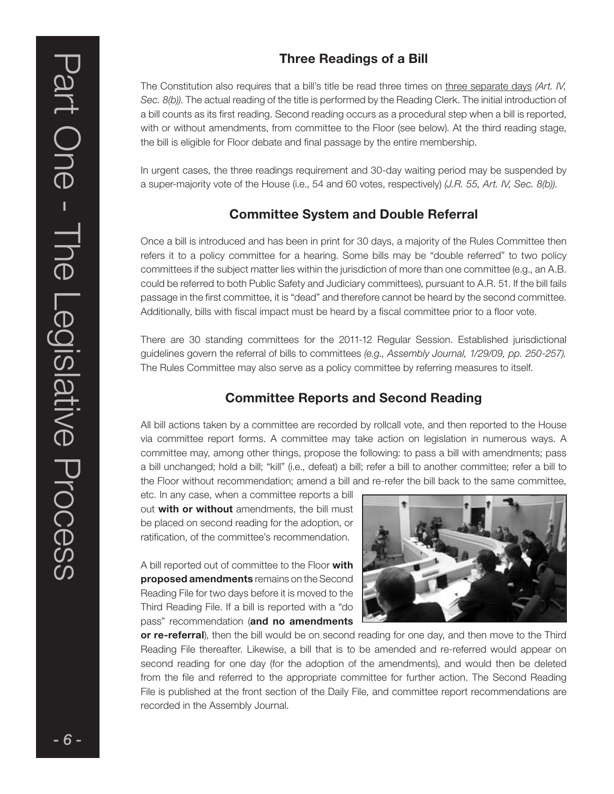### Three Readings of a Bill

The Constitution also requires that a bill's title be read three times on three separate days (Art. IV, Sec. 8(b)). The actual reading of the title is performed by the Reading Clerk. The initial introduction of a bill counts as its first reading. Second reading occurs as a procedural step when a bill is reported, with or without amendments, from committee to the Floor (see below). At the third reading stage, the bill is eligible for Floor debate and final passage by the entire membership.

In urgent cases, the three readings requirement and 30-day waiting period may be suspended by a super-majority vote of the House (i.e., 54 and 60 votes, respectively) (J.R. 55, Art. IV, Sec. 8(b)).

### Committee System and Double Referral

Once a bill is introduced and has been in print for 30 days, a majority of the Rules Committee then refers it to a policy committee for a hearing. Some bills may be "double referred" to two policy committees if the subject matter lies within the jurisdiction of more than one committee (e.g., an A.B. could be referred to both Public Safety and Judiciary committees), pursuant to A.R. 51. If the bill fails passage in the first committee, it is "dead" and therefore cannot be heard by the second committee. Additionally, bills with fiscal impact must be heard by a fiscal committee prior to a floor vote.

There are 30 standing committees for the 2011-12 Regular Session. Established jurisdictional guidelines govern the referral of bills to committees (e.g., Assembly Journal, 1/29/09, pp. 250-257). The Rules Committee may also serve as a policy committee by referring measures to itself.

### Committee Reports and Second Reading

All bill actions taken by a committee are recorded by rollcall vote, and then reported to the House via committee report forms. A committee may take action on legislation in numerous ways. A committee may, among other things, propose the following: to pass a bill with amendments; pass a bill unchanged; hold a bill; "kill" (i.e., defeat) a bill; refer a bill to another committee; refer a bill to the Floor without recommendation; amend a bill and re-refer the bill back to the same committee,

etc. In any case, when a committee reports a bill out with or without amendments, the bill must be placed on second reading for the adoption, or ratification, of the committee's recommendation.

A bill reported out of committee to the Floor with proposed amendments remains on the Second Reading File for two days before it is moved to the Third Reading File. If a bill is reported with a "do pass" recommendation (and no amendments



or re-referral), then the bill would be on second reading for one day, and then move to the Third Reading File thereafter. Likewise, a bill that is to be amended and re-referred would appear on second reading for one day (for the adoption of the amendments), and would then be deleted from the file and referred to the appropriate committee for further action. The Second Reading File is published at the front section of the Daily File, and committee report recommendations are recorded in the Assembly Journal.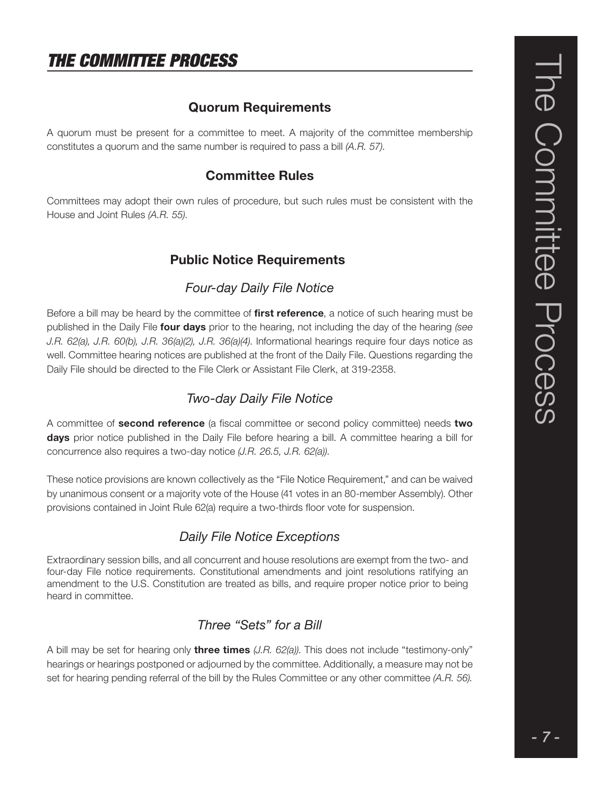### THE COMMITTEE PROCESS

### Quorum Requirements

A quorum must be present for a committee to meet. A majority of the committee membership constitutes a quorum and the same number is required to pass a bill (A.R. 57).

### Committee Rules

Committees may adopt their own rules of procedure, but such rules must be consistent with the House and Joint Rules (A.R. 55).

### Public Notice Requirements

### Four-day Daily File Notice

Before a bill may be heard by the committee of first reference, a notice of such hearing must be published in the Daily File **four days** prior to the hearing, not including the day of the hearing (see J.R. 62(a), J.R. 60(b), J.R. 36(a)(2), J.R. 36(a)(4). Informational hearings require four days notice as well. Committee hearing notices are published at the front of the Daily File. Questions regarding the Daily File should be directed to the File Clerk or Assistant File Clerk, at 319-2358.

### Two-day Daily File Notice

A committee of second reference (a fiscal committee or second policy committee) needs two days prior notice published in the Daily File before hearing a bill. A committee hearing a bill for concurrence also requires a two-day notice (J.R. 26.5, J.R. 62(a)).

These notice provisions are known collectively as the "File Notice Requirement," and can be waived by unanimous consent or a majority vote of the House (41 votes in an 80-member Assembly). Other provisions contained in Joint Rule 62(a) require a two-thirds floor vote for suspension.

### Daily File Notice Exceptions

Extraordinary session bills, and all concurrent and house resolutions are exempt from the two- and four-day File notice requirements. Constitutional amendments and joint resolutions ratifying an amendment to the U.S. Constitution are treated as bills, and require proper notice prior to being heard in committee.

### Three "Sets" for a Bill

A bill may be set for hearing only **three times**  $(J.R. 62(a))$ . This does not include "testimony-only" hearings or hearings postponed or adjourned by the committee. Additionally, a measure may not be set for hearing pending referral of the bill by the Rules Committee or any other committee (A.R. 56).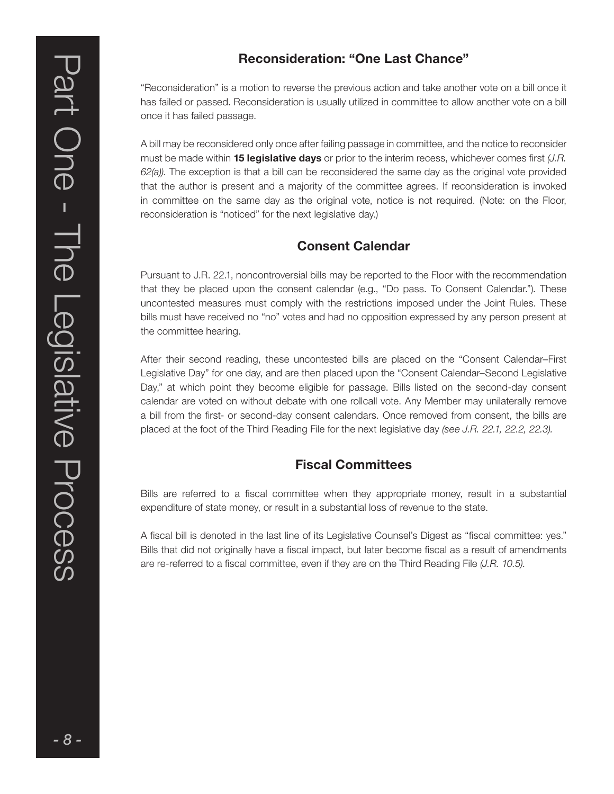"Reconsideration" is a motion to reverse the previous action and take another vote on a bill once it has failed or passed. Reconsideration is usually utilized in committee to allow another vote on a bill once it has failed passage.

A bill may be reconsidered only once after failing passage in committee, and the notice to reconsider must be made within **15 legislative days** or prior to the interim recess, whichever comes first  $(J.R.$  $62(a)$ ). The exception is that a bill can be reconsidered the same day as the original vote provided that the author is present and a majority of the committee agrees. If reconsideration is invoked in committee on the same day as the original vote, notice is not required. (Note: on the Floor, reconsideration is "noticed" for the next legislative day.)

### Consent Calendar

Pursuant to J.R. 22.1, noncontroversial bills may be reported to the Floor with the recommendation that they be placed upon the consent calendar (e.g., "Do pass. To Consent Calendar."). These uncontested measures must comply with the restrictions imposed under the Joint Rules. These bills must have received no "no" votes and had no opposition expressed by any person present at the committee hearing.

After their second reading, these uncontested bills are placed on the "Consent Calendar–First Legislative Day" for one day, and are then placed upon the "Consent Calendar–Second Legislative Day," at which point they become eligible for passage. Bills listed on the second-day consent calendar are voted on without debate with one rollcall vote. Any Member may unilaterally remove a bill from the first- or second-day consent calendars. Once removed from consent, the bills are placed at the foot of the Third Reading File for the next legislative day (see J.R. 22.1, 22.2, 22.3).

### Fiscal Committees

Bills are referred to a fiscal committee when they appropriate money, result in a substantial expenditure of state money, or result in a substantial loss of revenue to the state.

A fiscal bill is denoted in the last line of its Legislative Counsel's Digest as "fiscal committee: yes." Bills that did not originally have a fiscal impact, but later become fiscal as a result of amendments are re-referred to a fiscal committee, even if they are on the Third Reading File (J.R. 10.5).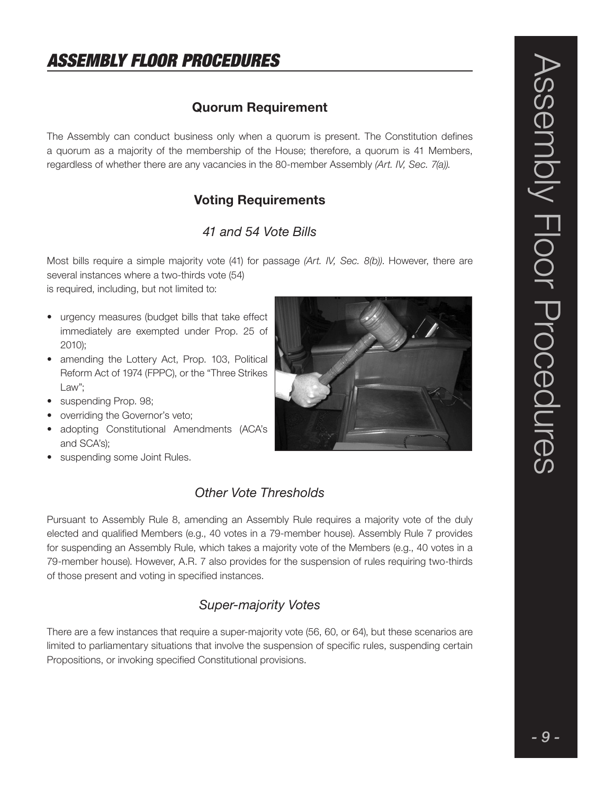### Quorum Requirement

The Assembly can conduct business only when a quorum is present. The Constitution defines a quorum as a majority of the membership of the House; therefore, a quorum is 41 Members, regardless of whether there are any vacancies in the 80-member Assembly (Art. IV, Sec. 7(a)).

### Voting Requirements

### 41 and 54 Vote Bills

Most bills require a simple majority vote (41) for passage (Art. IV, Sec. 8(b)). However, there are several instances where a two-thirds vote (54)

is required, including, but not limited to:

- urgency measures (budget bills that take effect immediately are exempted under Prop. 25 of 2010);
- amending the Lottery Act, Prop. 103, Political Reform Act of 1974 (FPPC), or the "Three Strikes Law";
- suspending Prop. 98;
- overriding the Governor's veto;
- adopting Constitutional Amendments (ACA's and SCA's);
- suspending some Joint Rules.

### Other Vote Thresholds

Pursuant to Assembly Rule 8, amending an Assembly Rule requires a majority vote of the duly elected and qualified Members (e.g., 40 votes in a 79-member house). Assembly Rule 7 provides for suspending an Assembly Rule, which takes a majority vote of the Members (e.g., 40 votes in a 79-member house). However, A.R. 7 also provides for the suspension of rules requiring two-thirds of those present and voting in specified instances.

### Super-majority Votes

There are a few instances that require a super-majority vote (56, 60, or 64), but these scenarios are limited to parliamentary situations that involve the suspension of specific rules, suspending certain Propositions, or invoking specified Constitutional provisions.

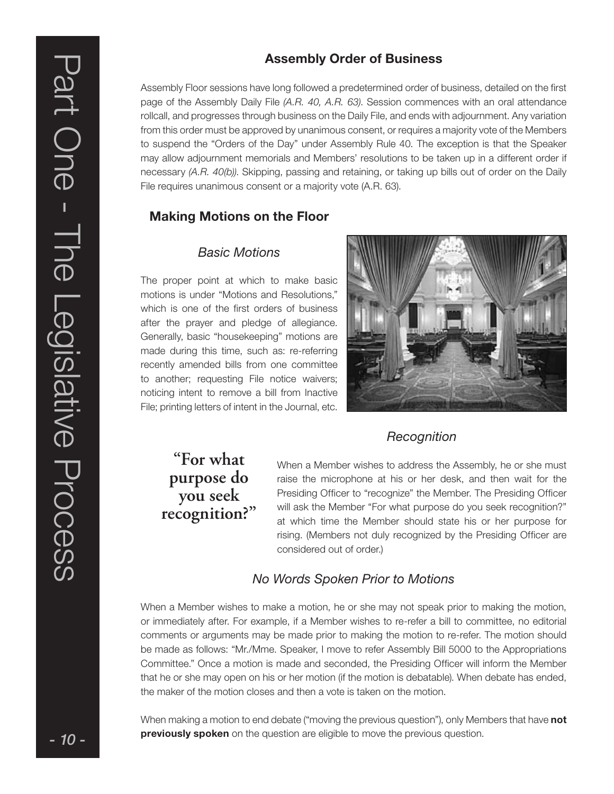### Assembly Order of Business

Assembly Floor sessions have long followed a predetermined order of business, detailed on the first page of the Assembly Daily File (A.R. 40, A.R. 63). Session commences with an oral attendance rollcall, and progresses through business on the Daily File, and ends with adjournment. Any variation from this order must be approved by unanimous consent, or requires a majority vote of the Members to suspend the "Orders of the Day" under Assembly Rule 40. The exception is that the Speaker may allow adjournment memorials and Members' resolutions to be taken up in a different order if necessary (A.R. 40(b)). Skipping, passing and retaining, or taking up bills out of order on the Daily File requires unanimous consent or a majority vote (A.R. 63).

### Making Motions on the Floor

### Basic Motions

The proper point at which to make basic motions is under "Motions and Resolutions," which is one of the first orders of business after the prayer and pledge of allegiance. Generally, basic "housekeeping" motions are made during this time, such as: re-referring recently amended bills from one committee to another; requesting File notice waivers; noticing intent to remove a bill from Inactive File; printing letters of intent in the Journal, etc.



### **Recognition**

**"For what purpose do you seek recognition?"**

When a Member wishes to address the Assembly, he or she must raise the microphone at his or her desk, and then wait for the Presiding Officer to "recognize" the Member. The Presiding Officer will ask the Member "For what purpose do you seek recognition?" at which time the Member should state his or her purpose for rising. (Members not duly recognized by the Presiding Officer are considered out of order.)

### No Words Spoken Prior to Motions

When a Member wishes to make a motion, he or she may not speak prior to making the motion, or immediately after. For example, if a Member wishes to re-refer a bill to committee, no editorial comments or arguments may be made prior to making the motion to re-refer. The motion should be made as follows: "Mr./Mme. Speaker, I move to refer Assembly Bill 5000 to the Appropriations Committee." Once a motion is made and seconded, the Presiding Officer will inform the Member that he or she may open on his or her motion (if the motion is debatable). When debate has ended, the maker of the motion closes and then a vote is taken on the motion.

When making a motion to end debate ("moving the previous question"), only Members that have **not** previously spoken on the question are eligible to move the previous question.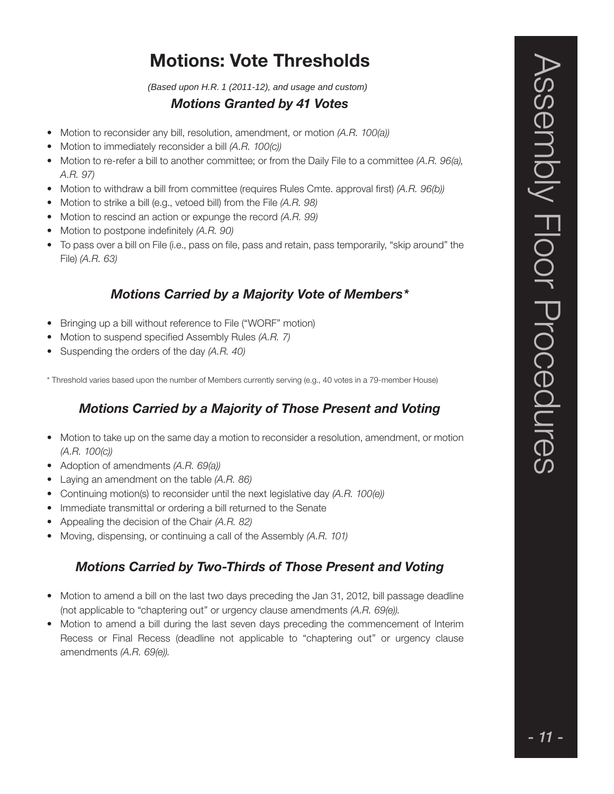### Motions: Vote Thresholds

*(Based upon H.R. 1 (2011-12), and usage and custom)*

### Motions Granted by 41 Votes

- Motion to reconsider any bill, resolution, amendment, or motion (A.R. 100(a))
- Motion to immediately reconsider a bill (A.R. 100(c))
- Motion to re-refer a bill to another committee; or from the Daily File to a committee (A.R. 96(a), A.R. 97)
- Motion to withdraw a bill from committee (requires Rules Cmte. approval first) (A.R. 96(b))
- Motion to strike a bill (e.g., vetoed bill) from the File (A.R. 98)
- Motion to rescind an action or expunge the record (A.R. 99)
- Motion to postpone indefinitely (A.R. 90)
- To pass over a bill on File (i.e., pass on file, pass and retain, pass temporarily, "skip around" the File) (A.R. 63)

### Motions Carried by a Majority Vote of Members\*

- Bringing up a bill without reference to File ("WORF" motion)
- Motion to suspend specified Assembly Rules (A.R. 7)
- Suspending the orders of the day (A.R. 40)

\* Threshold varies based upon the number of Members currently serving (e.g., 40 votes in a 79-member House)

### Motions Carried by a Majority of Those Present and Voting

- Motion to take up on the same day a motion to reconsider a resolution, amendment, or motion (A.R. 100(c))
- Adoption of amendments (A.R. 69(a))
- Laying an amendment on the table (A.R. 86)
- Continuing motion(s) to reconsider until the next legislative day (A.R. 100(e))
- Immediate transmittal or ordering a bill returned to the Senate
- Appealing the decision of the Chair (A.R. 82)
- Moving, dispensing, or continuing a call of the Assembly (A.R. 101)

### Motions Carried by Two-Thirds of Those Present and Voting

- Motion to amend a bill on the last two days preceding the Jan 31, 2012, bill passage deadline (not applicable to "chaptering out" or urgency clause amendments (A.R. 69(e)).
- Motion to amend a bill during the last seven days preceding the commencement of Interim Recess or Final Recess (deadline not applicable to "chaptering out" or urgency clause amendments (A.R. 69(e)).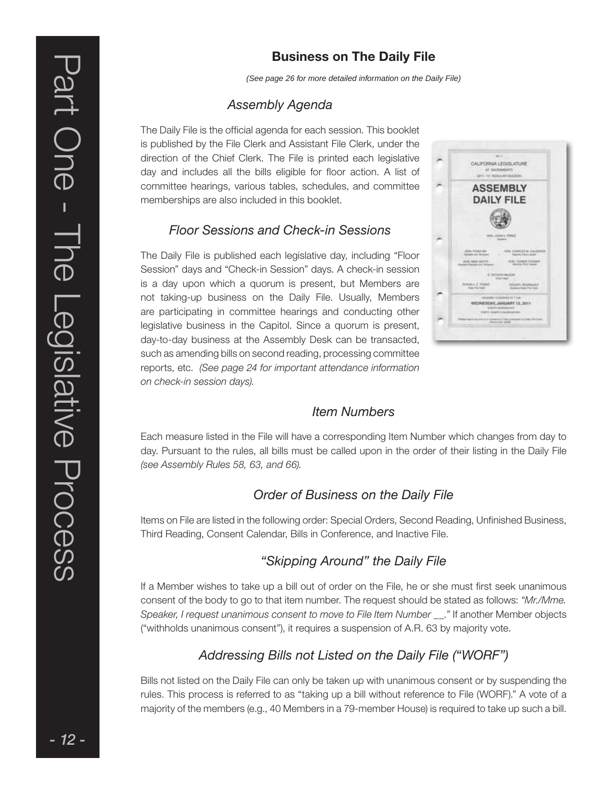### Business on The Daily File

*(See page 26 for more detailed information on the Daily File)*

### Assembly Agenda

The Daily File is the official agenda for each session. This booklet is published by the File Clerk and Assistant File Clerk, under the direction of the Chief Clerk. The File is printed each legislative day and includes all the bills eligible for floor action. A list of committee hearings, various tables, schedules, and committee memberships are also included in this booklet.

### Floor Sessions and Check-in Sessions

The Daily File is published each legislative day, including "Floor Session" days and "Check-in Session" days. A check-in session is a day upon which a quorum is present, but Members are not taking-up business on the Daily File. Usually, Members are participating in committee hearings and conducting other legislative business in the Capitol. Since a quorum is present, day-to-day business at the Assembly Desk can be transacted, such as amending bills on second reading, processing committee reports, etc. (See page 24 for important attendance information on check-in session days).



### Item Numbers

Each measure listed in the File will have a corresponding Item Number which changes from day to day. Pursuant to the rules, all bills must be called upon in the order of their listing in the Daily File (see Assembly Rules 58, 63, and 66).

### Order of Business on the Daily File

Items on File are listed in the following order: Special Orders, Second Reading, Unfinished Business, Third Reading, Consent Calendar, Bills in Conference, and Inactive File.

### "Skipping Around" the Daily File

If a Member wishes to take up a bill out of order on the File, he or she must first seek unanimous consent of the body to go to that item number. The request should be stated as follows: "Mr./Mme. Speaker, I request unanimous consent to move to File Item Number \_\_." If another Member objects ("withholds unanimous consent"), it requires a suspension of A.R. 63 by majority vote.

### Addressing Bills not Listed on the Daily File ("WORF")

Bills not listed on the Daily File can only be taken up with unanimous consent or by suspending the rules. This process is referred to as "taking up a bill without reference to File (WORF)." A vote of a majority of the members (e.g., 40 Members in a 79-member House) is required to take up such a bill.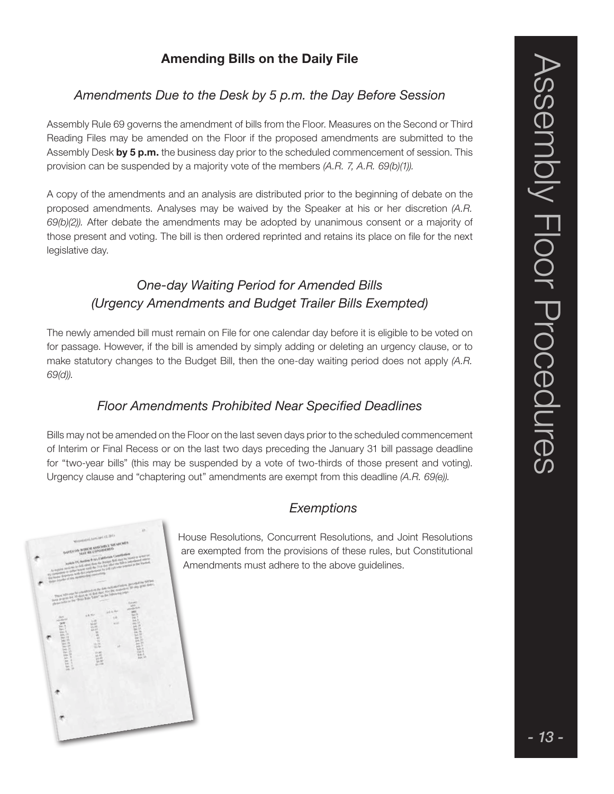### Amending Bills on the Daily File

### Amendments Due to the Desk by 5 p.m. the Day Before Session

Assembly Rule 69 governs the amendment of bills from the Floor. Measures on the Second or Third Reading Files may be amended on the Floor if the proposed amendments are submitted to the Assembly Desk by 5 p.m. the business day prior to the scheduled commencement of session. This provision can be suspended by a majority vote of the members (A.R. 7, A.R. 69(b)(1)).

A copy of the amendments and an analysis are distributed prior to the beginning of debate on the proposed amendments. Analyses may be waived by the Speaker at his or her discretion (A.R. 69(b)(2)). After debate the amendments may be adopted by unanimous consent or a majority of those present and voting. The bill is then ordered reprinted and retains its place on file for the next legislative day.

### One-day Waiting Period for Amended Bills (Urgency Amendments and Budget Trailer Bills Exempted)

The newly amended bill must remain on File for one calendar day before it is eligible to be voted on for passage. However, if the bill is amended by simply adding or deleting an urgency clause, or to make statutory changes to the Budget Bill, then the one-day waiting period does not apply (A.R. 69(d)).

### Floor Amendments Prohibited Near Specified Deadlines

Bills may not be amended on the Floor on the last seven days prior to the scheduled commencement of Interim or Final Recess or on the last two days preceding the January 31 bill passage deadline for "two-year bills" (this may be suspended by a vote of two-thirds of those present and voting). Urgency clause and "chaptering out" amendments are exempt from this deadline (A.R. 69(e)).

### **Exemptions**

House Resolutions, Concurrent Resolutions, and Joint Resolutions are exempted from the provisions of these rules, but Constitutional Amendments must adhere to the above guidelines.

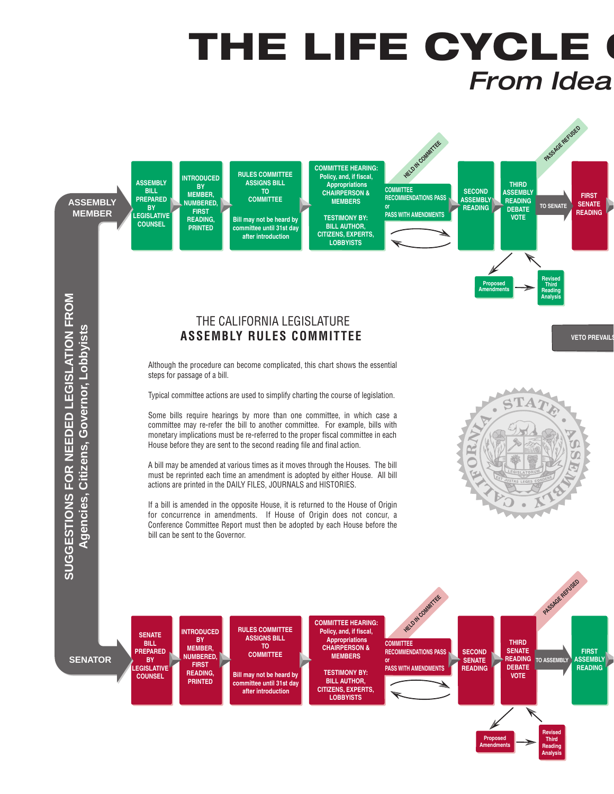### THE LIFE CYCLE ( **From Idea**



**READING, PRINTED**

**Bill may not be heard by committee until 31st day after introduction**

**TESTIMONY BY: BILL AUTHOR, CITIZENS, EXPERTS, LOBBYISTS**

**Proposed Amendments**

**Revised VOTE**

> **Third Reading Analysis**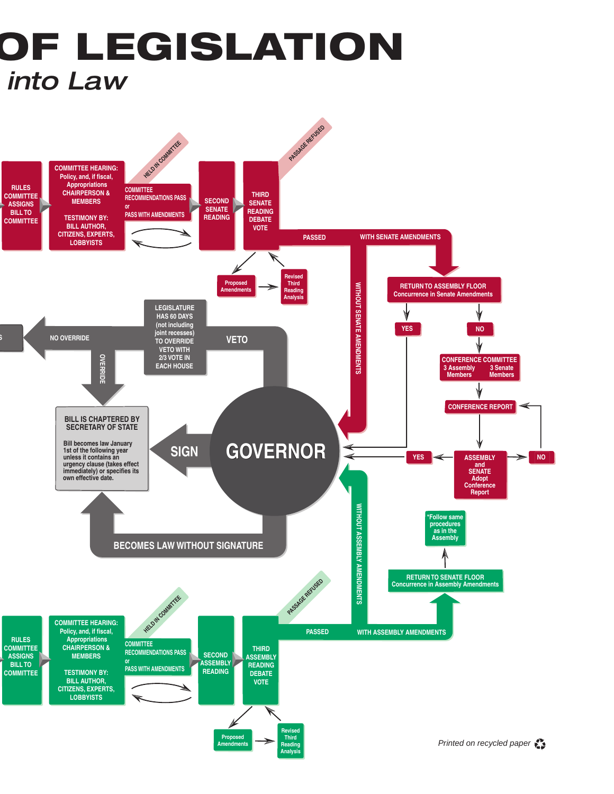### OF LEGISLATION *into Law*

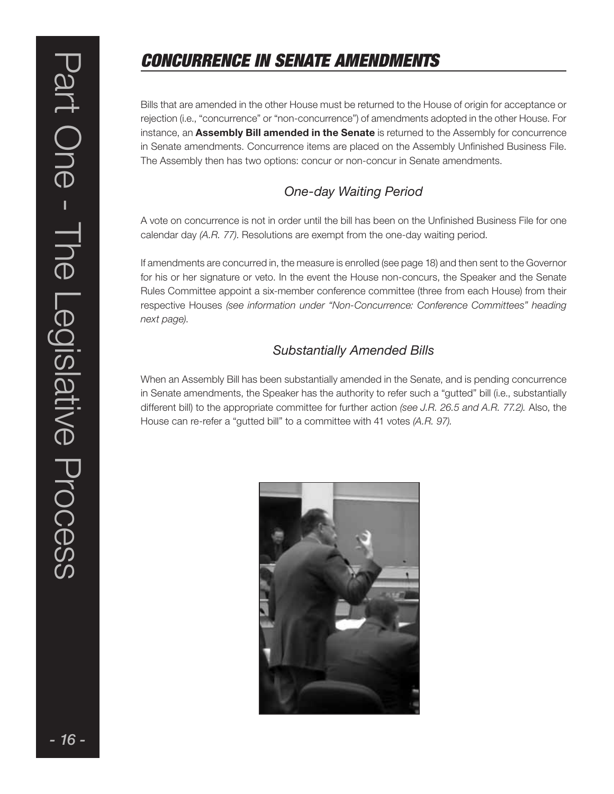### CONCURRENCE IN SENATE AMENDMENTS

Bills that are amended in the other House must be returned to the House of origin for acceptance or rejection (i.e., "concurrence" or "non-concurrence") of amendments adopted in the other House. For instance, an **Assembly Bill amended in the Senate** is returned to the Assembly for concurrence in Senate amendments. Concurrence items are placed on the Assembly Unfinished Business File. The Assembly then has two options: concur or non-concur in Senate amendments.

### One-day Waiting Period

A vote on concurrence is not in order until the bill has been on the Unfinished Business File for one calendar day (A.R. 77). Resolutions are exempt from the one-day waiting period.

If amendments are concurred in, the measure is enrolled (see page 18) and then sent to the Governor for his or her signature or veto. In the event the House non-concurs, the Speaker and the Senate Rules Committee appoint a six-member conference committee (three from each House) from their respective Houses (see information under "Non-Concurrence: Conference Committees" heading next page).

### Substantially Amended Bills

When an Assembly Bill has been substantially amended in the Senate, and is pending concurrence in Senate amendments, the Speaker has the authority to refer such a "gutted" bill (i.e., substantially different bill) to the appropriate committee for further action (see J.R. 26.5 and A.R. 77.2). Also, the House can re-refer a "gutted bill" to a committee with 41 votes (A.R. 97).

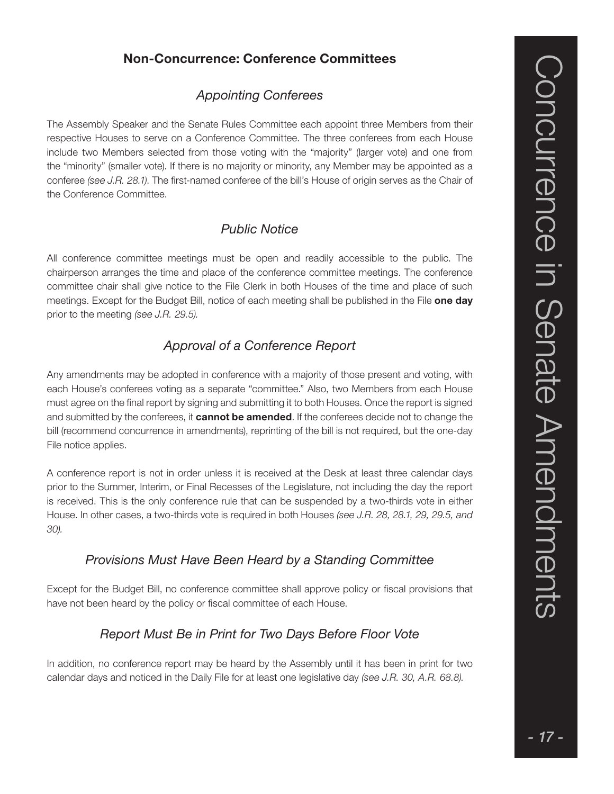### Non-Concurrence: Conference Committees

### Appointing Conferees

The Assembly Speaker and the Senate Rules Committee each appoint three Members from their respective Houses to serve on a Conference Committee. The three conferees from each House include two Members selected from those voting with the "majority" (larger vote) and one from the "minority" (smaller vote). If there is no majority or minority, any Member may be appointed as a conferee (see J.R. 28.1). The first-named conferee of the bill's House of origin serves as the Chair of the Conference Committee.

### Public Notice

All conference committee meetings must be open and readily accessible to the public. The chairperson arranges the time and place of the conference committee meetings. The conference committee chair shall give notice to the File Clerk in both Houses of the time and place of such meetings. Except for the Budget Bill, notice of each meeting shall be published in the File one day prior to the meeting (see J.R. 29.5).

### Approval of a Conference Report

Any amendments may be adopted in conference with a majority of those present and voting, with each House's conferees voting as a separate "committee." Also, two Members from each House must agree on the final report by signing and submitting it to both Houses. Once the report is signed and submitted by the conferees, it **cannot be amended**. If the conferees decide not to change the bill (recommend concurrence in amendments), reprinting of the bill is not required, but the one-day File notice applies.

A conference report is not in order unless it is received at the Desk at least three calendar days prior to the Summer, Interim, or Final Recesses of the Legislature, not including the day the report is received. This is the only conference rule that can be suspended by a two-thirds vote in either House. In other cases, a two-thirds vote is required in both Houses (see J.R. 28, 28.1, 29, 29.5, and 30).

### Provisions Must Have Been Heard by a Standing Committee

Except for the Budget Bill, no conference committee shall approve policy or fiscal provisions that have not been heard by the policy or fiscal committee of each House.

### Report Must Be in Print for Two Days Before Floor Vote

In addition, no conference report may be heard by the Assembly until it has been in print for two calendar days and noticed in the Daily File for at least one legislative day (see J.R. 30, A.R. 68.8).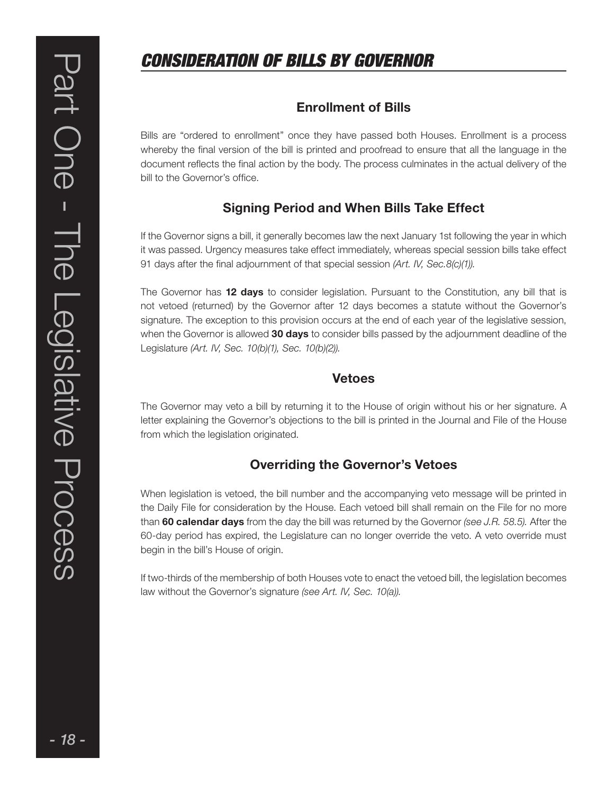### CONSIDERATION OF BILLS BY GOVERNOR

### Enrollment of Bills

Bills are "ordered to enrollment" once they have passed both Houses. Enrollment is a process whereby the final version of the bill is printed and proofread to ensure that all the language in the document reflects the final action by the body. The process culminates in the actual delivery of the bill to the Governor's office.

### Signing Period and When Bills Take Effect

If the Governor signs a bill, it generally becomes law the next January 1st following the year in which it was passed. Urgency measures take effect immediately, whereas special session bills take effect 91 days after the final adjournment of that special session (Art. IV, Sec.8(c)(1)).

The Governor has 12 days to consider legislation. Pursuant to the Constitution, any bill that is not vetoed (returned) by the Governor after 12 days becomes a statute without the Governor's signature. The exception to this provision occurs at the end of each year of the legislative session, when the Governor is allowed 30 days to consider bills passed by the adjournment deadline of the Legislature (Art. IV, Sec. 10(b)(1), Sec. 10(b)(2)).

### Vetoes

The Governor may veto a bill by returning it to the House of origin without his or her signature. A letter explaining the Governor's objections to the bill is printed in the Journal and File of the House from which the legislation originated.

### Overriding the Governor's Vetoes

When legislation is vetoed, the bill number and the accompanying veto message will be printed in the Daily File for consideration by the House. Each vetoed bill shall remain on the File for no more than 60 calendar days from the day the bill was returned by the Governor (see J.R. 58.5). After the 60-day period has expired, the Legislature can no longer override the veto. A veto override must begin in the bill's House of origin.

If two-thirds of the membership of both Houses vote to enact the vetoed bill, the legislation becomes law without the Governor's signature (see Art. IV, Sec. 10(a)).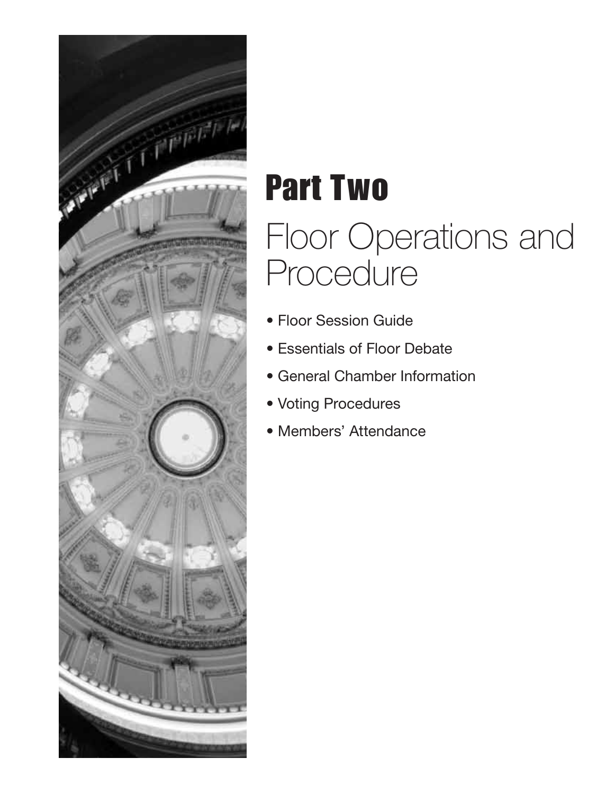

# Part Two Floor Operations and Procedure

- Floor Session Guide
- Essentials of Floor Debate
- General Chamber Information
- Voting Procedures
- Members' Attendance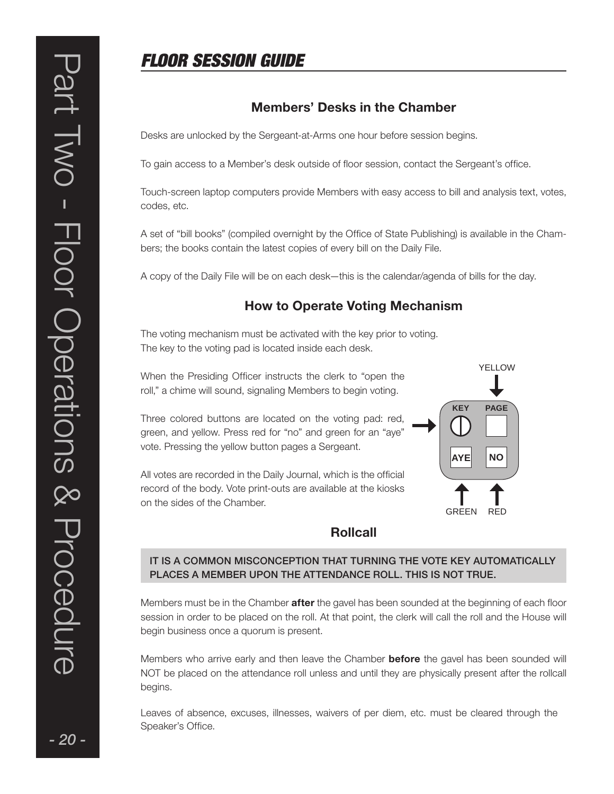### FLOOR SESSION GUIDE

### Members' Desks in the Chamber

Desks are unlocked by the Sergeant-at-Arms one hour before session begins.

To gain access to a Member's desk outside of floor session, contact the Sergeant's office.

Touch-screen laptop computers provide Members with easy access to bill and analysis text, votes, codes, etc.

A set of "bill books" (compiled overnight by the Office of State Publishing) is available in the Chambers; the books contain the latest copies of every bill on the Daily File.

A copy of the Daily File will be on each desk—this is the calendar/agenda of bills for the day.

### How to Operate Voting Mechanism

The voting mechanism must be activated with the key prior to voting. The key to the voting pad is located inside each desk.

When the Presiding Officer instructs the clerk to "open the roll," a chime will sound, signaling Members to begin voting.

Three colored buttons are located on the voting pad: red, green, and yellow. Press red for "no" and green for an "aye" vote. Pressing the yellow button pages a Sergeant.

All votes are recorded in the Daily Journal, which is the official record of the body. Vote print-outs are available at the kiosks on the sides of the Chamber.



### Rollcall

### IT IS A COMMON MISCONCEPTION THAT TURNING THE VOTE KEY AUTOMATICALLY PLACES A MEMBER UPON THE ATTENDANCE ROLL. THIS IS NOT TRUE.

Members must be in the Chamber **after** the gavel has been sounded at the beginning of each floor session in order to be placed on the roll. At that point, the clerk will call the roll and the House will begin business once a quorum is present.

Members who arrive early and then leave the Chamber **before** the gavel has been sounded will NOT be placed on the attendance roll unless and until they are physically present after the rollcall begins.

Leaves of absence, excuses, illnesses, waivers of per diem, etc. must be cleared through the Speaker's Office.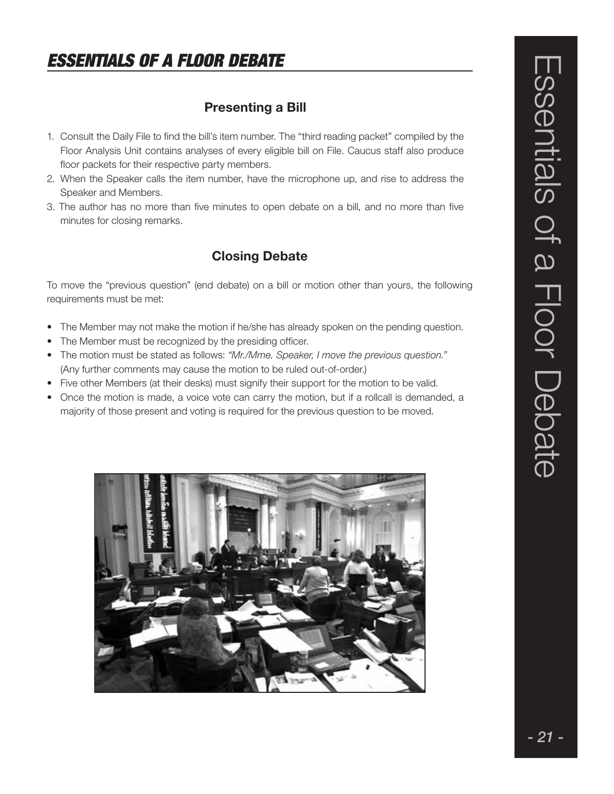### ESSENTIALS OF A FLOOR DEBATE

### Presenting a Bill

- 1. Consult the Daily File to find the bill's item number. The "third reading packet" compiled by the Floor Analysis Unit contains analyses of every eligible bill on File. Caucus staff also produce floor packets for their respective party members.
- 2. When the Speaker calls the item number, have the microphone up, and rise to address the Speaker and Members.
- 3. The author has no more than five minutes to open debate on a bill, and no more than five minutes for closing remarks.

### Closing Debate

To move the "previous question" (end debate) on a bill or motion other than yours, the following requirements must be met:

- The Member may not make the motion if he/she has already spoken on the pending question.
- The Member must be recognized by the presiding officer.
- The motion must be stated as follows: "Mr./Mme. Speaker, I move the previous question." (Any further comments may cause the motion to be ruled out-of-order.)
- Five other Members (at their desks) must signify their support for the motion to be valid.
- Once the motion is made, a voice vote can carry the motion, but if a rollcall is demanded, a majority of those present and voting is required for the previous question to be moved.

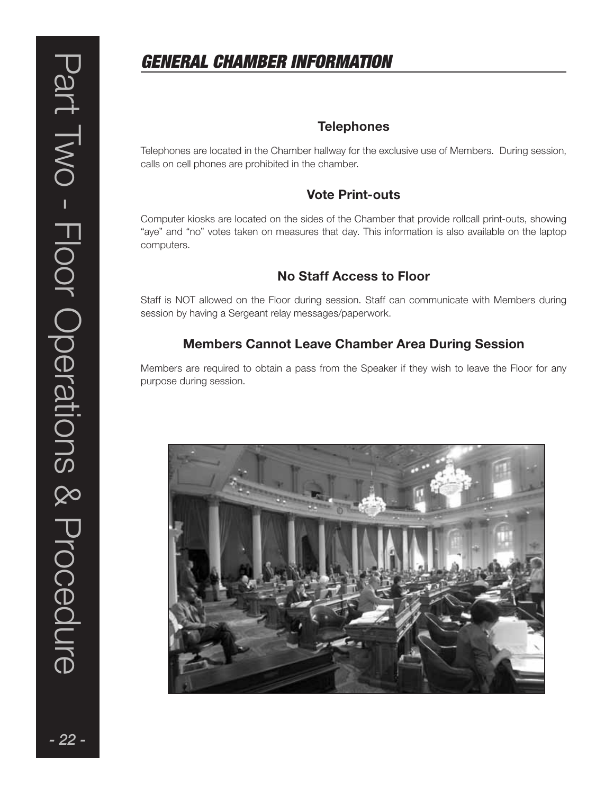### GENERAL CHAMBER INFORMATION

### **Telephones**

Telephones are located in the Chamber hallway for the exclusive use of Members. During session, calls on cell phones are prohibited in the chamber.

### Vote Print-outs

Computer kiosks are located on the sides of the Chamber that provide rollcall print-outs, showing "aye" and "no" votes taken on measures that day. This information is also available on the laptop computers.

### No Staff Access to Floor

Staff is NOT allowed on the Floor during session. Staff can communicate with Members during session by having a Sergeant relay messages/paperwork.

### Members Cannot Leave Chamber Area During Session

Members are required to obtain a pass from the Speaker if they wish to leave the Floor for any purpose during session.

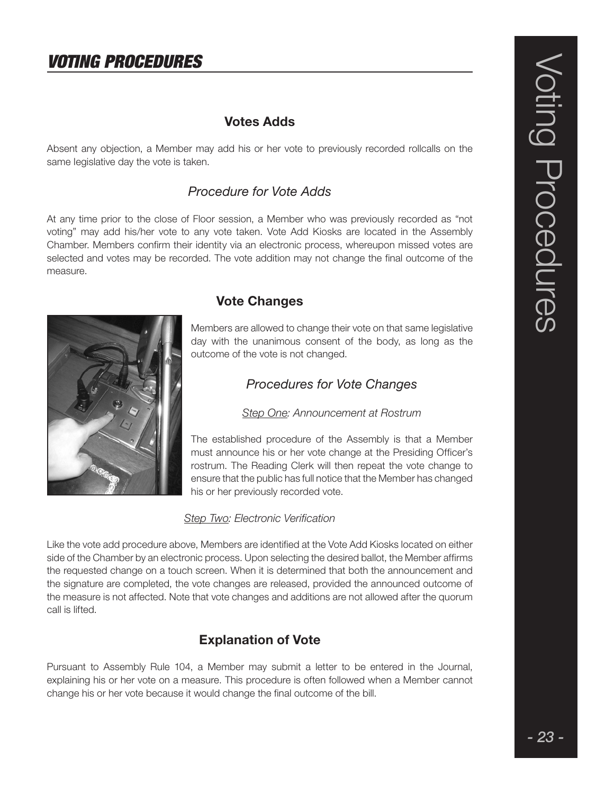### VOTING PROCEDURES

### Votes Adds

Absent any objection, a Member may add his or her vote to previously recorded rollcalls on the same Iegislative day the vote is taken.

### Procedure for Vote Adds

At any time prior to the close of Floor session, a Member who was previously recorded as "not voting" may add his/her vote to any vote taken. Vote Add Kiosks are located in the Assembly Chamber. Members confirm their identity via an electronic process, whereupon missed votes are selected and votes may be recorded. The vote addition may not change the final outcome of the measure.



### Vote Changes

Members are allowed to change their vote on that same legislative day with the unanimous consent of the body, as long as the outcome of the vote is not changed.

### Procedures for Vote Changes

Step One: Announcement at Rostrum

The established procedure of the Assembly is that a Member must announce his or her vote change at the Presiding Officer's rostrum. The Reading Clerk will then repeat the vote change to ensure that the public has full notice that the Member has changed his or her previously recorded vote.

### Step Two: Electronic Verification

Like the vote add procedure above, Members are identified at the Vote Add Kiosks located on either side of the Chamber by an electronic process. Upon selecting the desired ballot, the Member affirms the requested change on a touch screen. When it is determined that both the announcement and the signature are completed, the vote changes are released, provided the announced outcome of the measure is not affected. Note that vote changes and additions are not allowed after the quorum call is lifted.

### Explanation of Vote

Pursuant to Assembly Rule 104, a Member may submit a letter to be entered in the Journal, explaining his or her vote on a measure. This procedure is often followed when a Member cannot change his or her vote because it would change the final outcome of the bill.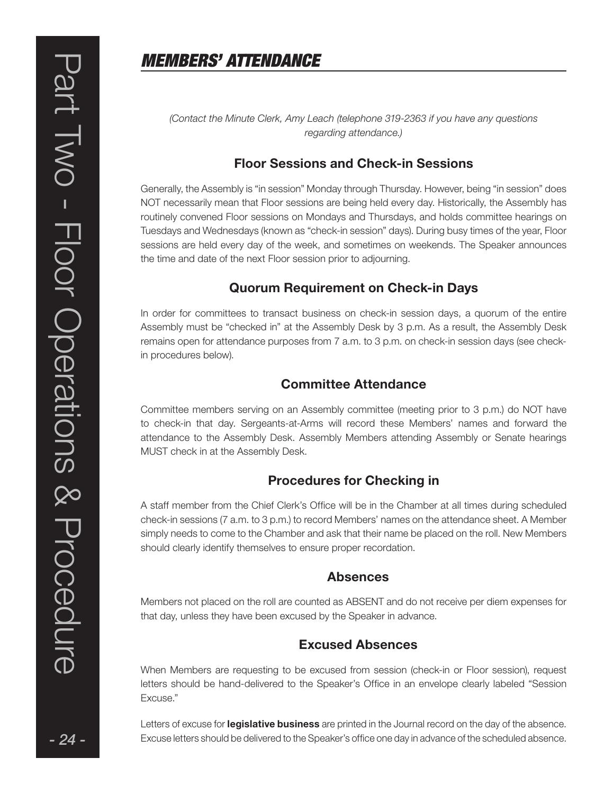### MEMBERS' ATTENDANCE

(Contact the Minute Clerk, Amy Leach (telephone 319-2363 if you have any questions regarding attendance.)

### Floor Sessions and Check-in Sessions

Generally, the Assembly is "in session" Monday through Thursday. However, being "in session" does NOT necessarily mean that Floor sessions are being held every day. Historically, the Assembly has routinely convened Floor sessions on Mondays and Thursdays, and holds committee hearings on Tuesdays and Wednesdays (known as "check-in session" days). During busy times of the year, Floor sessions are held every day of the week, and sometimes on weekends. The Speaker announces the time and date of the next Floor session prior to adjourning.

### Quorum Requirement on Check-in Days

In order for committees to transact business on check-in session days, a quorum of the entire Assembly must be "checked in" at the Assembly Desk by 3 p.m. As a result, the Assembly Desk remains open for attendance purposes from 7 a.m. to 3 p.m. on check-in session days (see checkin procedures below).

### Committee Attendance

Committee members serving on an Assembly committee (meeting prior to 3 p.m.) do NOT have to check-in that day. Sergeants-at-Arms will record these Members' names and forward the attendance to the Assembly Desk. Assembly Members attending Assembly or Senate hearings MUST check in at the Assembly Desk.

### Procedures for Checking in

A staff member from the Chief Clerk's Office will be in the Chamber at all times during scheduled check-in sessions (7 a.m. to 3 p.m.) to record Members' names on the attendance sheet. A Member simply needs to come to the Chamber and ask that their name be placed on the roll. New Members should clearly identify themselves to ensure proper recordation.

### Absences

Members not placed on the roll are counted as ABSENT and do not receive per diem expenses for that day, unless they have been excused by the Speaker in advance.

### Excused Absences

When Members are requesting to be excused from session (check-in or Floor session), request letters should be hand-delivered to the Speaker's Office in an envelope clearly labeled "Session Excuse."

Letters of excuse for **legislative business** are printed in the Journal record on the day of the absence. Excuse letters should be delivered to the Speaker's office one day in advance of the scheduled absence.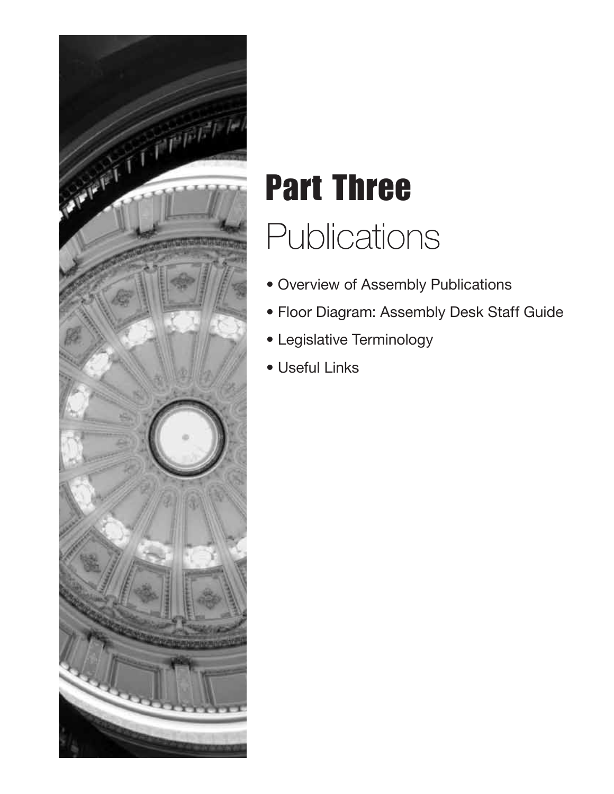

# Part Three **Publications**

- Overview of Assembly Publications
- Floor Diagram: Assembly Desk Staff Guide
- Legislative Terminology
- Useful Links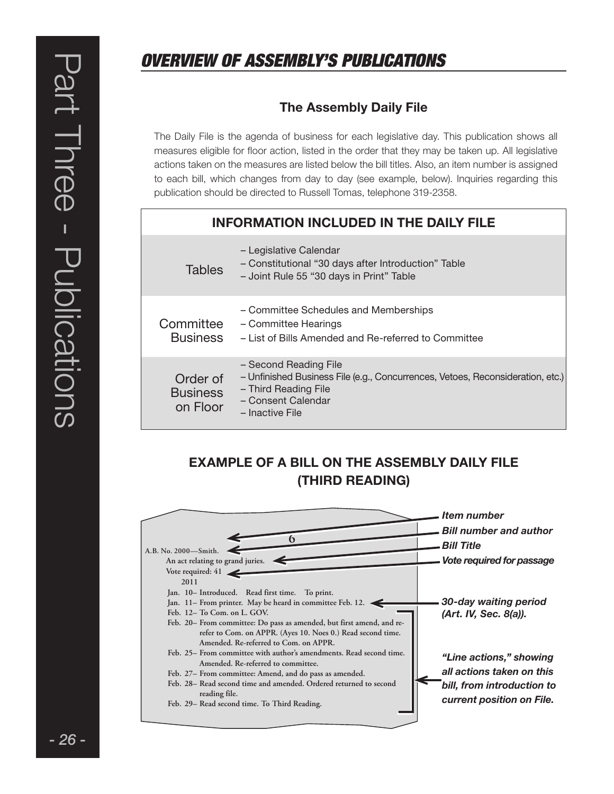### OVERVIEW OF ASSEMBLY'S PUBLICATIONS

### The Assembly Daily File

The Daily File is the agenda of business for each legislative day. This publication shows all measures eligible for floor action, listed in the order that they may be taken up. All legislative actions taken on the measures are Iisted below the bill titles. Also, an item number is assigned to each bill, which changes from day to day (see example, below). Inquiries regarding this publication should be directed to Russell Tomas, telephone 319-2358.

### INFORMATION INCLUDED IN THE DAILY FILE

| <b>Tables</b>                           | - Legislative Calendar<br>- Constitutional "30 days after Introduction" Table<br>- Joint Rule 55 "30 days in Print" Table                                                |
|-----------------------------------------|--------------------------------------------------------------------------------------------------------------------------------------------------------------------------|
| Committee<br><b>Business</b>            | - Committee Schedules and Memberships<br>- Committee Hearings<br>- List of Bills Amended and Re-referred to Committee                                                    |
| Order of<br><b>Business</b><br>on Floor | - Second Reading File<br>- Unfinished Business File (e.g., Concurrences, Vetoes, Reconsideration, etc.)<br>- Third Reading File<br>- Consent Calendar<br>- Inactive File |

### EXAMPLE OF A BILL ON THE ASSEMBLY DAILY FILE (THIRD READING)

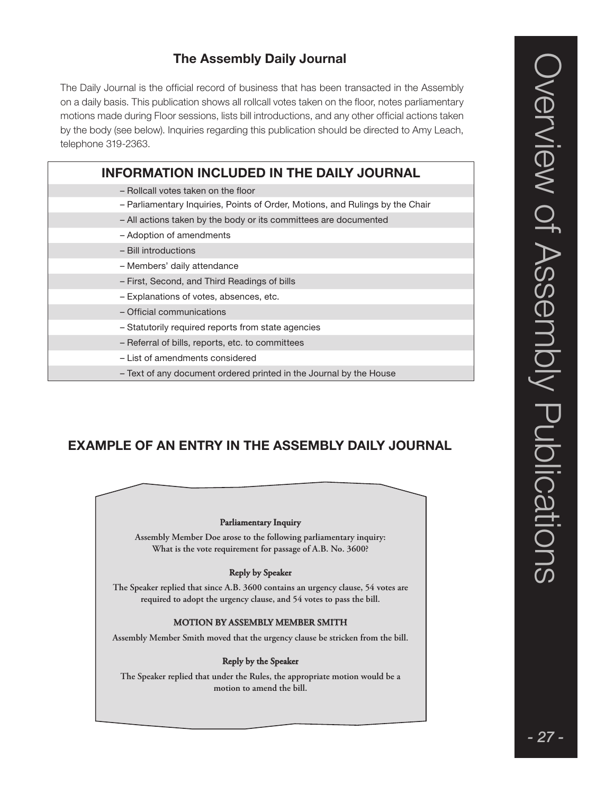### The Assembly Daily Journal

The Daily Journal is the official record of business that has been transacted in the Assembly on a daily basis. This publication shows all rollcall votes taken on the floor, notes parliamentary motions made during Floor sessions, lists bill introductions, and any other official actions taken by the body (see below). Inquiries regarding this publication should be directed to Amy Leach, telephone 319-2363.

| <b>INFORMATION INCLUDED IN THE DAILY JOURNAL</b>                              |
|-------------------------------------------------------------------------------|
| - Rollcall votes taken on the floor                                           |
| - Parliamentary Inquiries, Points of Order, Motions, and Rulings by the Chair |
| - All actions taken by the body or its committees are documented              |
| - Adoption of amendments                                                      |
| - Bill introductions                                                          |
| - Members' daily attendance                                                   |
| - First, Second, and Third Readings of bills                                  |
| - Explanations of votes, absences, etc.                                       |
| - Official communications                                                     |
| - Statutorily required reports from state agencies                            |
| - Referral of bills, reports, etc. to committees                              |
| - List of amendments considered                                               |
| - Text of any document ordered printed in the Journal by the House            |

### EXAMPLE OF AN ENTRY IN THE ASSEMBLY DAILY JOURNAL

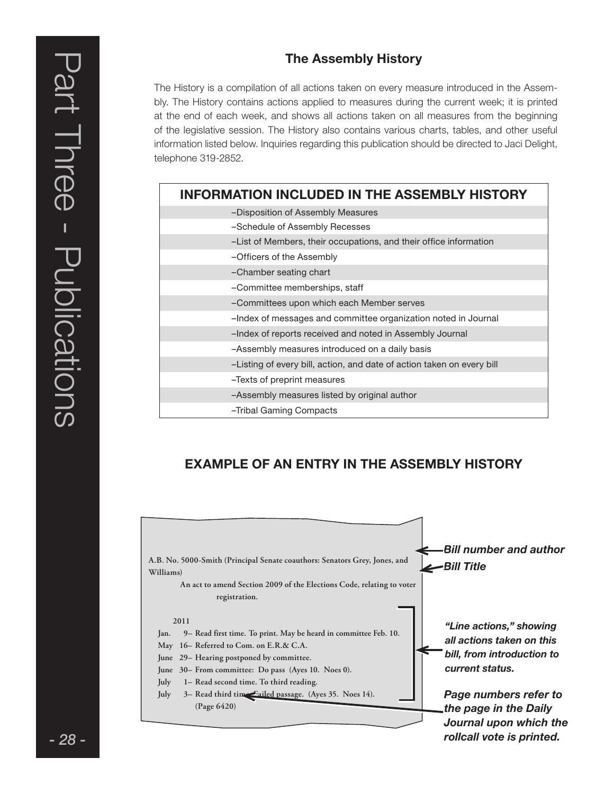### The Assembly History

The History is a compilation of all actions taken on every measure introduced in the Assembly. The History contains actions applied to measures during the current week; it is printed at the end of each week, and shows all actions taken on all measures from the beginning of the legislative session. The History also contains various charts, tables, and other useful information listed below. Inquiries regarding this publication should be directed to Jaci Delight, telephone 319-2852.

| <b>INFORMATION INCLUDED IN THE ASSEMBLY HISTORY</b>                    |  |  |
|------------------------------------------------------------------------|--|--|
| -Disposition of Assembly Measures                                      |  |  |
| -Schedule of Assembly Recesses                                         |  |  |
| -List of Members, their occupations, and their office information      |  |  |
| -Officers of the Assembly                                              |  |  |
| -Chamber seating chart                                                 |  |  |
| -Committee memberships, staff                                          |  |  |
| -Committees upon which each Member serves                              |  |  |
| -Index of messages and committee organization noted in Journal         |  |  |
| -Index of reports received and noted in Assembly Journal               |  |  |
| -Assembly measures introduced on a daily basis                         |  |  |
| -Listing of every bill, action, and date of action taken on every bill |  |  |
| -Texts of preprint measures                                            |  |  |
| -Assembly measures listed by original author                           |  |  |
| -Tribal Gaming Compacts                                                |  |  |

### EXAMPLE OF AN ENTRY IN THE ASSEMBLY HISTORY

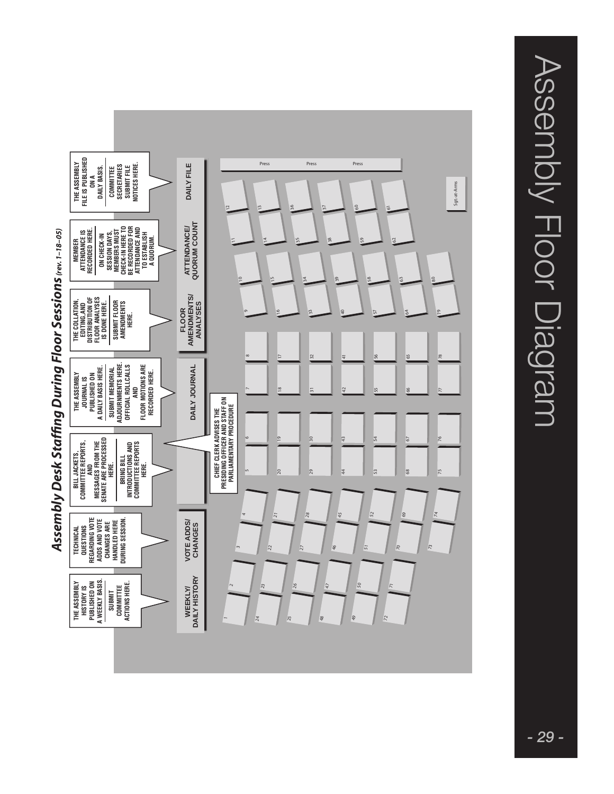

Assembly Desk Staffing During Floor Sessions (rev. 1-18-05) *Assembly Desk Staffing During Floor Sessions (rev. 1–18–05)* Assembly Floor Diagram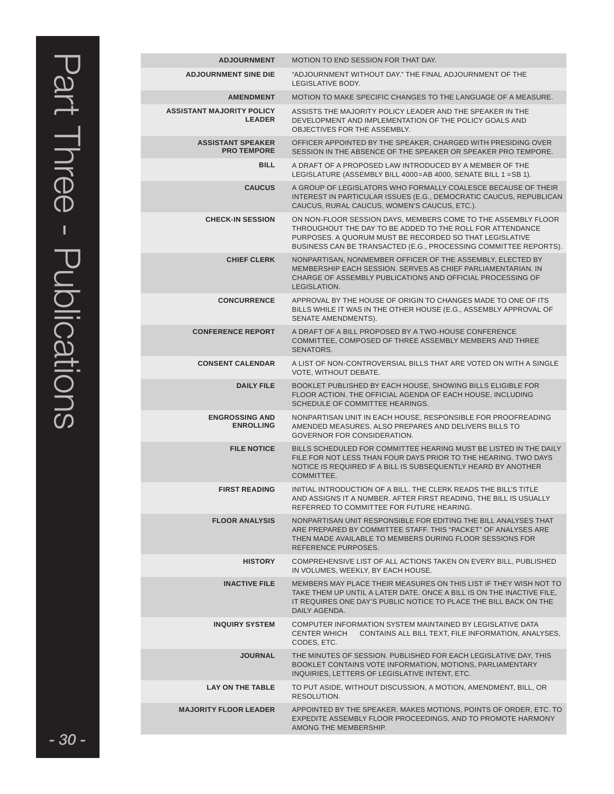| <b>ADJOURNMENT</b>                                | MOTION TO END SESSION FOR THAT DAY.                                                                                                                                                                                                                       |
|---------------------------------------------------|-----------------------------------------------------------------------------------------------------------------------------------------------------------------------------------------------------------------------------------------------------------|
| <b>ADJOURNMENT SINE DIE</b>                       | "ADJOURNMENT WITHOUT DAY." THE FINAL ADJOURNMENT OF THE<br>LEGISLATIVE BODY.                                                                                                                                                                              |
| <b>AMENDMENT</b>                                  | MOTION TO MAKE SPECIFIC CHANGES TO THE LANGUAGE OF A MEASURE.                                                                                                                                                                                             |
| <b>ASSISTANT MAJORITY POLICY</b><br><b>LEADER</b> | ASSISTS THE MAJORITY POLICY LEADER AND THE SPEAKER IN THE<br>DEVELOPMENT AND IMPLEMENTATION OF THE POLICY GOALS AND<br>OBJECTIVES FOR THE ASSEMBLY.                                                                                                       |
| <b>ASSISTANT SPEAKER</b><br><b>PRO TEMPORE</b>    | OFFICER APPOINTED BY THE SPEAKER, CHARGED WITH PRESIDING OVER<br>SESSION IN THE ABSENCE OF THE SPEAKER OR SPEAKER PRO TEMPORE.                                                                                                                            |
| <b>BILL</b>                                       | A DRAFT OF A PROPOSED LAW INTRODUCED BY A MEMBER OF THE<br>LEGISLATURE (ASSEMBLY BILL 4000=AB 4000, SENATE BILL 1 = SB 1).                                                                                                                                |
| <b>CAUCUS</b>                                     | A GROUP OF LEGISLATORS WHO FORMALLY COALESCE BECAUSE OF THEIR<br>INTEREST IN PARTICULAR ISSUES (E.G., DEMOCRATIC CAUCUS, REPUBLICAN<br>CAUCUS, RURAL CAUCUS, WOMEN'S CAUCUS, ETC.).                                                                       |
| <b>CHECK-IN SESSION</b>                           | ON NON-FLOOR SESSION DAYS, MEMBERS COME TO THE ASSEMBLY FLOOR<br>THROUGHOUT THE DAY TO BE ADDED TO THE ROLL FOR ATTENDANCE<br>PURPOSES. A QUORUM MUST BE RECORDED SO THAT LEGISLATIVE<br>BUSINESS CAN BE TRANSACTED (E.G., PROCESSING COMMITTEE REPORTS). |
| <b>CHIEF CLERK</b>                                | NONPARTISAN, NONMEMBER OFFICER OF THE ASSEMBLY, ELECTED BY<br>MEMBERSHIP EACH SESSION, SERVES AS CHIEF PARLIAMENTARIAN, IN<br>CHARGE OF ASSEMBLY PUBLICATIONS AND OFFICIAL PROCESSING OF<br>LEGISLATION.                                                  |
| <b>CONCURRENCE</b>                                | APPROVAL BY THE HOUSE OF ORIGIN TO CHANGES MADE TO ONE OF ITS<br>BILLS WHILE IT WAS IN THE OTHER HOUSE (E.G., ASSEMBLY APPROVAL OF<br>SENATE AMENDMENTS).                                                                                                 |
| <b>CONFERENCE REPORT</b>                          | A DRAFT OF A BILL PROPOSED BY A TWO-HOUSE CONFERENCE<br>COMMITTEE, COMPOSED OF THREE ASSEMBLY MEMBERS AND THREE<br>SENATORS.                                                                                                                              |
| <b>CONSENT CALENDAR</b>                           | A LIST OF NON-CONTROVERSIAL BILLS THAT ARE VOTED ON WITH A SINGLE<br>VOTE, WITHOUT DEBATE.                                                                                                                                                                |
| <b>DAILY FILE</b>                                 | BOOKLET PUBLISHED BY EACH HOUSE, SHOWING BILLS ELIGIBLE FOR<br>FLOOR ACTION. THE OFFICIAL AGENDA OF EACH HOUSE, INCLUDING<br>SCHEDULE OF COMMITTEE HEARINGS.                                                                                              |
| <b>ENGROSSING AND</b><br><b>ENROLLING</b>         | NONPARTISAN UNIT IN EACH HOUSE, RESPONSIBLE FOR PROOFREADING<br>AMENDED MEASURES. ALSO PREPARES AND DELIVERS BILLS TO<br>GOVERNOR FOR CONSIDERATION.                                                                                                      |
| <b>FILE NOTICE</b>                                | BILLS SCHEDULED FOR COMMITTEE HEARING MUST BE LISTED IN THE DAILY<br>FILE FOR NOT LESS THAN FOUR DAYS PRIOR TO THE HEARING. TWO DAYS<br>NOTICE IS REQUIRED IF A BILL IS SUBSEQUENTLY HEARD BY ANOTHER<br>COMMITTEE.                                       |
| <b>FIRST READING</b>                              | INITIAL INTRODUCTION OF A BILL. THE CLERK READS THE BILL'S TITLE<br>AND ASSIGNS IT A NUMBER. AFTER FIRST READING. THE BILL IS USUALLY<br>REFERRED TO COMMITTEE FOR FUTURE HEARING.                                                                        |
| <b>FLOOR ANALYSIS</b>                             | NONPARTISAN UNIT RESPONSIBLE FOR EDITING THE BILL ANALYSES THAT<br>ARE PREPARED BY COMMITTEE STAFF. THIS "PACKET" OF ANALYSES ARE<br>THEN MADE AVAILABLE TO MEMBERS DURING FLOOR SESSIONS FOR<br>REFERENCE PURPOSES.                                      |
| <b>HISTORY</b>                                    | COMPREHENSIVE LIST OF ALL ACTIONS TAKEN ON EVERY BILL, PUBLISHED<br>IN VOLUMES, WEEKLY, BY EACH HOUSE.                                                                                                                                                    |
| <b>INACTIVE FILE</b>                              | MEMBERS MAY PLACE THEIR MEASURES ON THIS LIST IF THEY WISH NOT TO<br>TAKE THEM UP UNTIL A LATER DATE. ONCE A BILL IS ON THE INACTIVE FILE,<br>IT REQUIRES ONE DAY'S PUBLIC NOTICE TO PLACE THE BILL BACK ON THE<br>DAILY AGENDA.                          |
| <b>INQUIRY SYSTEM</b>                             | COMPUTER INFORMATION SYSTEM MAINTAINED BY LEGISLATIVE DATA<br>CONTAINS ALL BILL TEXT, FILE INFORMATION, ANALYSES,<br><b>CENTER WHICH</b><br>CODES, ETC.                                                                                                   |
| <b>JOURNAL</b>                                    | THE MINUTES OF SESSION. PUBLISHED FOR EACH LEGISLATIVE DAY, THIS<br>BOOKLET CONTAINS VOTE INFORMATION, MOTIONS, PARLIAMENTARY<br>INQUIRIES, LETTERS OF LEGISLATIVE INTENT, ETC.                                                                           |
| <b>LAY ON THE TABLE</b>                           | TO PUT ASIDE, WITHOUT DISCUSSION, A MOTION, AMENDMENT, BILL, OR<br>RESOLUTION.                                                                                                                                                                            |
| <b>MAJORITY FLOOR LEADER</b>                      | APPOINTED BY THE SPEAKER. MAKES MOTIONS, POINTS OF ORDER, ETC. TO<br>EXPEDITE ASSEMBLY FLOOR PROCEEDINGS, AND TO PROMOTE HARMONY<br>AMONG THE MEMBERSHIP.                                                                                                 |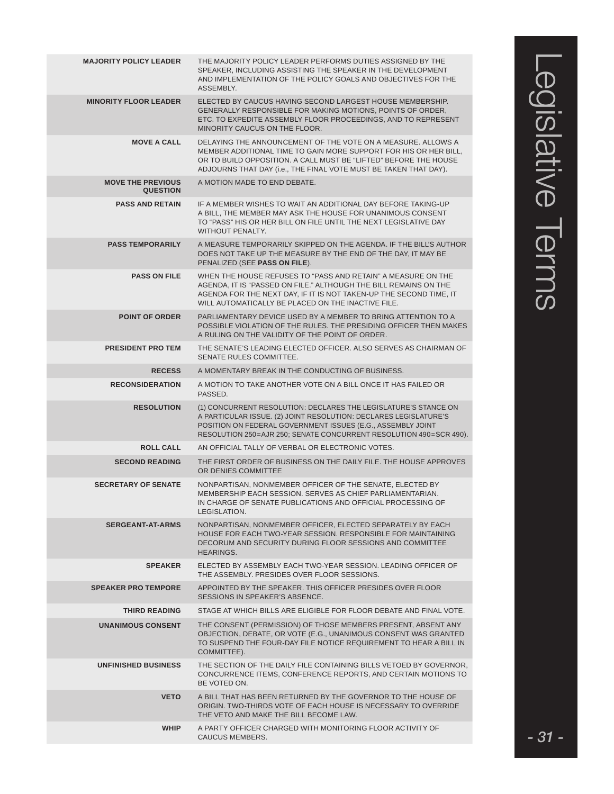| <b>MAJORITY POLICY LEADER</b>               | THE MAJORITY POLICY LEADER PERFORMS DUTIES ASSIGNED BY THE<br>SPEAKER, INCLUDING ASSISTING THE SPEAKER IN THE DEVELOPMENT<br>AND IMPLEMENTATION OF THE POLICY GOALS AND OBJECTIVES FOR THE<br>ASSEMBLY.                                                                  |
|---------------------------------------------|--------------------------------------------------------------------------------------------------------------------------------------------------------------------------------------------------------------------------------------------------------------------------|
| <b>MINORITY FLOOR LEADER</b>                | ELECTED BY CAUCUS HAVING SECOND LARGEST HOUSE MEMBERSHIP.<br>GENERALLY RESPONSIBLE FOR MAKING MOTIONS, POINTS OF ORDER,<br>ETC. TO EXPEDITE ASSEMBLY FLOOR PROCEEDINGS, AND TO REPRESENT<br>MINORITY CAUCUS ON THE FLOOR.                                                |
| <b>MOVE A CALL</b>                          | DELAYING THE ANNOUNCEMENT OF THE VOTE ON A MEASURE. ALLOWS A<br>MEMBER ADDITIONAL TIME TO GAIN MORE SUPPORT FOR HIS OR HER BILL,<br>OR TO BUILD OPPOSITION. A CALL MUST BE "LIFTED" BEFORE THE HOUSE<br>ADJOURNS THAT DAY (i.e., THE FINAL VOTE MUST BE TAKEN THAT DAY). |
| <b>MOVE THE PREVIOUS</b><br><b>QUESTION</b> | A MOTION MADE TO END DEBATE.                                                                                                                                                                                                                                             |
| <b>PASS AND RETAIN</b>                      | IF A MEMBER WISHES TO WAIT AN ADDITIONAL DAY BEFORE TAKING-UP<br>A BILL, THE MEMBER MAY ASK THE HOUSE FOR UNANIMOUS CONSENT<br>TO "PASS" HIS OR HER BILL ON FILE UNTIL THE NEXT LEGISLATIVE DAY<br>WITHOUT PENALTY.                                                      |
| <b>PASS TEMPORARILY</b>                     | A MEASURE TEMPORARILY SKIPPED ON THE AGENDA. IF THE BILL'S AUTHOR<br>DOES NOT TAKE UP THE MEASURE BY THE END OF THE DAY, IT MAY BE<br>PENALIZED (SEE PASS ON FILE).                                                                                                      |
| <b>PASS ON FILE</b>                         | WHEN THE HOUSE REFUSES TO "PASS AND RETAIN" A MEASURE ON THE<br>AGENDA, IT IS "PASSED ON FILE." ALTHOUGH THE BILL REMAINS ON THE<br>AGENDA FOR THE NEXT DAY, IF IT IS NOT TAKEN-UP THE SECOND TIME, IT<br>WILL AUTOMATICALLY BE PLACED ON THE INACTIVE FILE.             |
| <b>POINT OF ORDER</b>                       | PARLIAMENTARY DEVICE USED BY A MEMBER TO BRING ATTENTION TO A<br>POSSIBLE VIOLATION OF THE RULES. THE PRESIDING OFFICER THEN MAKES<br>A RULING ON THE VALIDITY OF THE POINT OF ORDER.                                                                                    |
| <b>PRESIDENT PRO TEM</b>                    | THE SENATE'S LEADING ELECTED OFFICER. ALSO SERVES AS CHAIRMAN OF<br>SENATE RULES COMMITTEE.                                                                                                                                                                              |
| <b>RECESS</b>                               | A MOMENTARY BREAK IN THE CONDUCTING OF BUSINESS.                                                                                                                                                                                                                         |
| <b>RECONSIDERATION</b>                      | A MOTION TO TAKE ANOTHER VOTE ON A BILL ONCE IT HAS FAILED OR<br>PASSED.                                                                                                                                                                                                 |
| <b>RESOLUTION</b>                           | (1) CONCURRENT RESOLUTION: DECLARES THE LEGISLATURE'S STANCE ON<br>A PARTICULAR ISSUE. (2) JOINT RESOLUTION: DECLARES LEGISLATURE'S<br>POSITION ON FEDERAL GOVERNMENT ISSUES (E.G., ASSEMBLY JOINT<br>RESOLUTION 250=AJR 250; SENATE CONCURRENT RESOLUTION 490=SCR 490). |
| <b>ROLL CALL</b>                            | AN OFFICIAL TALLY OF VERBAL OR ELECTRONIC VOTES.                                                                                                                                                                                                                         |
| <b>SECOND READING</b>                       | THE FIRST ORDER OF BUSINESS ON THE DAILY FILE. THE HOUSE APPROVES<br>OR DENIES COMMITTEE                                                                                                                                                                                 |
| <b>SECRETARY OF SENATE</b>                  | NONPARTISAN, NONMEMBER OFFICER OF THE SENATE, ELECTED BY<br>MEMBERSHIP EACH SESSION. SERVES AS CHIEF PARLIAMENTARIAN.<br>IN CHARGE OF SENATE PUBLICATIONS AND OFFICIAL PROCESSING OF<br>LEGISLATION.                                                                     |
| <b>SERGEANT-AT-ARMS</b>                     | NONPARTISAN, NONMEMBER OFFICER, ELECTED SEPARATELY BY EACH<br>HOUSE FOR EACH TWO-YEAR SESSION. RESPONSIBLE FOR MAINTAINING<br>DECORUM AND SECURITY DURING FLOOR SESSIONS AND COMMITTEE<br><b>HEARINGS.</b>                                                               |
| <b>SPEAKER</b>                              | ELECTED BY ASSEMBLY EACH TWO-YEAR SESSION. LEADING OFFICER OF<br>THE ASSEMBLY. PRESIDES OVER FLOOR SESSIONS.                                                                                                                                                             |
| <b>SPEAKER PRO TEMPORE</b>                  | APPOINTED BY THE SPEAKER. THIS OFFICER PRESIDES OVER FLOOR<br>SESSIONS IN SPEAKER'S ABSENCE.                                                                                                                                                                             |
| <b>THIRD READING</b>                        | STAGE AT WHICH BILLS ARE ELIGIBLE FOR FLOOR DEBATE AND FINAL VOTE.                                                                                                                                                                                                       |
| <b>UNANIMOUS CONSENT</b>                    | THE CONSENT (PERMISSION) OF THOSE MEMBERS PRESENT, ABSENT ANY<br>OBJECTION, DEBATE, OR VOTE (E.G., UNANIMOUS CONSENT WAS GRANTED<br>TO SUSPEND THE FOUR-DAY FILE NOTICE REQUIREMENT TO HEAR A BILL IN<br>COMMITTEE).                                                     |
| <b>UNFINISHED BUSINESS</b>                  | THE SECTION OF THE DAILY FILE CONTAINING BILLS VETOED BY GOVERNOR.<br>CONCURRENCE ITEMS, CONFERENCE REPORTS, AND CERTAIN MOTIONS TO<br>BE VOTED ON.                                                                                                                      |
| <b>VETO</b>                                 | A BILL THAT HAS BEEN RETURNED BY THE GOVERNOR TO THE HOUSE OF<br>ORIGIN. TWO-THIRDS VOTE OF EACH HOUSE IS NECESSARY TO OVERRIDE<br>THE VETO AND MAKE THE BILL BECOME LAW.                                                                                                |
| <b>WHIP</b>                                 | A PARTY OFFICER CHARGED WITH MONITORING FLOOR ACTIVITY OF<br>CAUCUS MEMBERS.                                                                                                                                                                                             |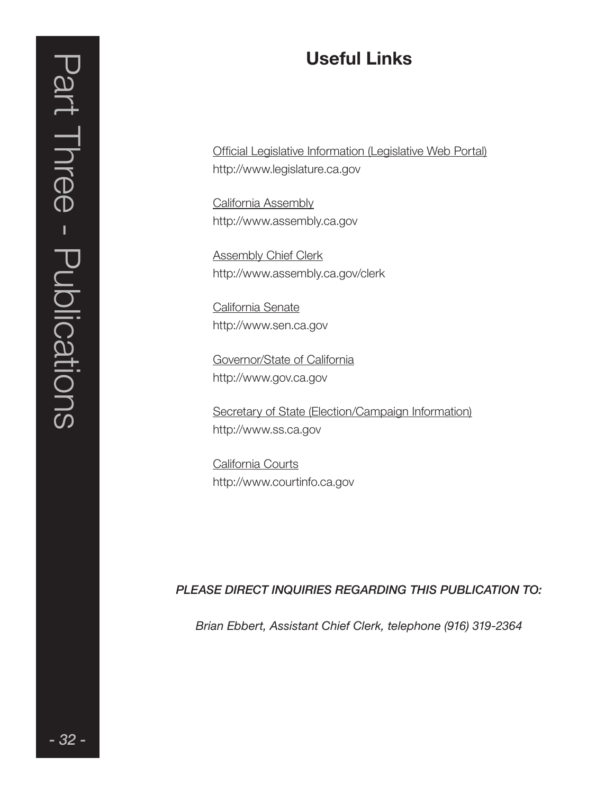Official Legislative Information (Legislative Web Portal) http://www.legislature.ca.gov

California Assembly http://www.assembly.ca.gov

Assembly Chief Clerk http://www.assembly.ca.gov/clerk

California Senate http://www.sen.ca.gov

Governor/State of California http://www.gov.ca.gov

Secretary of State (Election/Campaign Information) http://www.ss.ca.gov

California Courts http://www.courtinfo.ca.gov

### PLEASE DIRECT INQUIRIES REGARDING THIS PUBLICATION TO:

Brian Ebbert, Assistant Chief Clerk, telephone (916) 319-2364